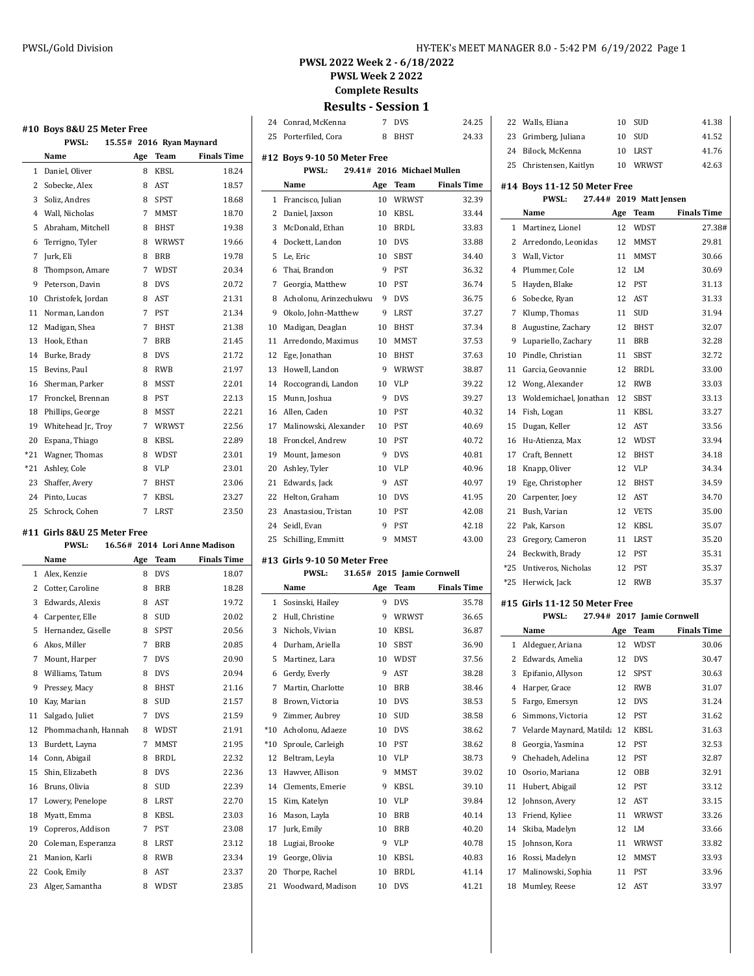**PWSL Week 2 2022**

**Complete Results**

**Results - Session 1** Conrad, McKenna 7 DVS 24.25

25 Porterfiled, Cora 8 BHST 24.33

|                | #10 Boys 8&U 25 Meter Free |     |                          |                    |
|----------------|----------------------------|-----|--------------------------|--------------------|
|                | <b>PWSL:</b>               |     | 15.55# 2016 Ryan Maynard |                    |
|                | Name                       | Age | Team                     | <b>Finals Time</b> |
| $\mathbf{1}$   | Daniel, Oliver             | 8   | KBSL                     | 18.24              |
| 2              | Sobecke, Alex              | 8   | AST                      | 18.57              |
| 3              | Soliz, Andres              | 8   | <b>SPST</b>              | 18.68              |
| $\overline{4}$ | Wall. Nicholas             | 7   | <b>MMST</b>              | 18.70              |
| 5              | Abraham, Mitchell          | 8   | <b>BHST</b>              | 19.38              |
| 6              | Terrigno, Tyler            | 8   | WRWST                    | 19.66              |
| 7              | Jurk, Eli                  | 8   | <b>BRB</b>               | 19.78              |
| 8              | Thompson, Amare            | 7   | WDST                     | 20.34              |
| 9              | Peterson, Davin            | 8   | <b>DVS</b>               | 20.72              |
| 10             | Christofek, Jordan         | 8   | AST                      | 21.31              |
| 11             | Norman. Landon             | 7   | <b>PST</b>               | 21.34              |
| 12             | Madigan, Shea              | 7   | BHST                     | 21.38              |
| 13             | Hook. Ethan                | 7   | <b>BRB</b>               | 21.45              |
| 14             | Burke, Brady               | 8   | <b>DVS</b>               | 21.72              |
| 15             | Bevins. Paul               | 8   | <b>RWB</b>               | 21.97              |
| 16             | Sherman. Parker            | 8   | MSST                     | 22.01              |
| 17             | Fronckel, Brennan          | 8   | <b>PST</b>               | 22.13              |
| 18             | Phillips, George           | 8   | <b>MSST</b>              | 22.21              |
| 19             | Whitehead Jr., Troy        | 7   | WRWST                    | 22.56              |
| 20             | Espana, Thiago             | 8   | KBSL                     | 22.89              |
| *21            | Wagner, Thomas             | 8   | <b>WDST</b>              | 23.01              |
| $*21$          | Ashley, Cole               | 8   | <b>VLP</b>               | 23.01              |
| 23             | Shaffer, Avery             | 7   | BHST                     | 23.06              |
| 24             | Pinto. Lucas               | 7   | KBSL                     | 23.27              |
| 25             | Schrock. Cohen             | 7   | <b>LRST</b>              | 23.50              |
|                |                            |     |                          |                    |

#### **#11 Girls 8&U 25 Meter Free**

|                | <b>PWSL:</b>        |     |             | 16.56# 2014 Lori Anne Madison |
|----------------|---------------------|-----|-------------|-------------------------------|
|                | Name                | Age | Team        | <b>Finals Time</b>            |
| $\mathbf{1}$   | Alex. Kenzie        | 8   | <b>DVS</b>  | 18.07                         |
| 2              | Cotter, Caroline    | 8   | <b>BRB</b>  | 18.28                         |
| 3              | Edwards, Alexis     | 8   | AST         | 19.72                         |
| $\overline{4}$ | Carpenter, Elle     | 8   | <b>SUD</b>  | 20.02                         |
| 5              | Hernandez, Giselle  | 8   | <b>SPST</b> | 20.56                         |
| 6              | Akos, Miller        | 7   | <b>BRB</b>  | 20.85                         |
| 7              | Mount, Harper       | 7   | <b>DVS</b>  | 20.90                         |
| 8              | Williams, Tatum     | 8   | <b>DVS</b>  | 20.94                         |
| 9              | Pressey, Macy       | 8   | <b>BHST</b> | 21.16                         |
| 10             | Kay, Marian         | 8   | <b>SUD</b>  | 21.57                         |
| 11             | Salgado, Juliet     | 7   | <b>DVS</b>  | 21.59                         |
| 12             | Phommachanh, Hannah | 8   | WDST        | 21.91                         |
| 13             | Burdett, Layna      | 7   | <b>MMST</b> | 21.95                         |
| 14             | Conn, Abigail       | 8   | <b>BRDL</b> | 22.32                         |
| 15             | Shin, Elizabeth     | 8   | <b>DVS</b>  | 22.36                         |
| 16             | Bruns, Olivia       | 8   | <b>SUD</b>  | 22.39                         |
| 17             | Lowery, Penelope    | 8   | LRST        | 22.70                         |
| 18             | Myatt, Emma         | 8   | <b>KBSL</b> | 23.03                         |
| 19             | Copreros, Addison   | 7   | <b>PST</b>  | 23.08                         |
| 20             | Coleman, Esperanza  | 8   | <b>LRST</b> | 23.12                         |
| 21             | Manion, Karli       | 8   | <b>RWB</b>  | 23.34                         |
| 22             | Cook, Emily         | 8   | <b>AST</b>  | 23.37                         |
| 23             | Alger, Samantha     | 8   | <b>WDST</b> | 23.85                         |

|                     | #12 Boys 9-10 50 Meter Free                  |         |                            |                    |
|---------------------|----------------------------------------------|---------|----------------------------|--------------------|
|                     | PWSL:                                        |         | 29.41# 2016 Michael Mullen |                    |
| Name                |                                              | Age     | Team                       | <b>Finals Time</b> |
| $\mathbf{1}$        | Francisco, Julian                            | 10      | WRWST                      | 32.39              |
| 2<br>Daniel, Jaxson |                                              | 10      | KBSL                       | 33.44              |
| 3                   | McDonald, Ethan                              | 10      | <b>BRDL</b>                | 33.83              |
| 4                   | Dockett, Landon                              | 10      | <b>DVS</b>                 | 33.88              |
| 5<br>Le, Eric       |                                              | 10      | SBST                       | 34.40              |
| 6                   | Thai, Brandon                                | 9       | PST                        | 36.32              |
| 7                   | Georgia, Matthew                             | 10      | <b>PST</b>                 | 36.74              |
| 8                   | Acholonu, Arinzechukwu                       | 9       | <b>DVS</b>                 | 36.75              |
| 9                   | Okolo, John-Matthew                          | 9       | LRST                       | 37.27              |
| 10                  | Madigan, Deaglan                             | 10      | <b>BHST</b>                | 37.34              |
| 11                  | Arredondo, Maximus                           | 10      | MMST                       | 37.53              |
| 12<br>Ege, Jonathan |                                              | 10      | <b>BHST</b>                | 37.63              |
| 13                  | Howell, Landon                               | 9       | WRWST                      | 38.87              |
| 14                  | Roccograndi, Landon                          | 10      | <b>VLP</b>                 | 39.22              |
| 15<br>Munn, Joshua  |                                              | 9       | <b>DVS</b>                 | 39.27              |
| 16<br>Allen, Caden  |                                              | 10      | <b>PST</b>                 | 40.32              |
| 17                  | Malinowski, Alexander                        | 10      | PST                        | 40.69              |
| 18                  | Fronckel, Andrew                             | 10      | PST                        | 40.72              |
| 19                  | Mount, Jameson                               | 9       | <b>DVS</b>                 | 40.81              |
| 20<br>Ashley, Tyler |                                              | 10      | <b>VLP</b>                 | 40.96              |
| 21                  | Edwards, Jack                                | 9       | <b>AST</b>                 | 40.97              |
| 22                  | Helton, Graham                               | 10      | <b>DVS</b>                 | 41.95              |
| 23                  | Anastasiou, Tristan                          | 10      | PST                        | 42.08              |
| 24<br>Seidl, Evan   |                                              | 9       | PST                        | 42.18              |
| 25                  | Schilling, Emmitt                            | 9       | MMST                       | 43.00              |
|                     |                                              |         |                            |                    |
|                     | #13 Girls 9-10 50 Meter Free<br><b>PWSL:</b> |         | 31.65# 2015 Jamie Cornwell |                    |
| Name                |                                              | Age     | Team                       | <b>Finals Time</b> |
| $\mathbf{1}$        | Sosinski, Hailey                             | 9       | DVS                        | 35.78              |
| 2                   | Hull, Christine                              | 9       | WRWST                      | 36.65              |
| 3                   | Nichols, Vivian                              | 10      | <b>KBSL</b>                | 36.87              |
| 4                   | Durham, Ariella                              | 10      | SBST                       | 36.90              |
| 5                   | Martinez, Lara                               | 10      | WDST                       | 37.56              |
| 6<br>Gerdy, Everly  |                                              | 9       | AST                        | 38.28              |
| 7                   | Martin, Charlotte                            | 10      | <b>BRB</b>                 | 38.46              |
| 8                   | Brown, Victoria                              |         | 10 DVS                     | 38.53              |
| 9                   | Zimmer, Aubrey                               | 10      | SUD                        | 38.58              |
| $*10$               | Acholonu, Adaeze                             | 10      | <b>DVS</b>                 | 38.62              |
| $*10$               | Sproule, Carleigh                            | 10      | PST                        | 38.62              |
| 12                  | Beltram, Leyla                               | 10      | VLP                        | 38.73              |
| 13                  | Hawver, Allison                              | 9       | MMST                       | 39.02              |
|                     |                                              |         |                            |                    |
|                     |                                              |         |                            |                    |
| 14                  | Clements, Emerie                             | 9       | KBSL                       | 39.10              |
| 15<br>Kim, Katelyn  |                                              | 10      | VLP                        | 39.84              |
| 16<br>Mason, Layla  |                                              | 10      | BRB                        | 40.14              |
| 17<br>Jurk, Emily   |                                              | 10      | BRB                        | 40.20              |
| 18<br>19            | Lugiai, Brooke<br>George, Olivia             | 9<br>10 | VLP<br>KBSL                | 40.78<br>40.83     |

 $\overline{\phantom{0}}$ 

21 Woodward, Madison 10 DVS 41.21

|  | 22 Walls, Eliana        |    | 10 SUD   | 41.38 |
|--|-------------------------|----|----------|-------|
|  | 23 Grimberg, Juliana    |    | $10$ SUD | 41.52 |
|  | 24 Bilock. McKenna      |    | 10 LRST  | 41.76 |
|  | 25 Christensen, Kaitlyn | 10 | WRWST    | 42.63 |

#### **#14 Boys 11-12 50 Meter Free**

#### **PWSL: 27.44# 2019 Matt Jensen**

|                | Name                          | Age | Team                       | <b>Finals Time</b> |
|----------------|-------------------------------|-----|----------------------------|--------------------|
| $\mathbf{1}$   | Martinez, Lionel              | 12  | WDST                       | 27.38#             |
| 2              | Arredondo, Leonidas           | 12  | MMST                       | 29.81              |
| 3              | Wall, Victor                  | 11  | <b>MMST</b>                | 30.66              |
| 4              | Plummer, Cole                 | 12  | LM                         | 30.69              |
| 5              | Hayden, Blake                 | 12  | <b>PST</b>                 | 31.13              |
| 6              | Sobecke, Ryan                 | 12  | AST                        | 31.33              |
| 7              | Klump, Thomas                 | 11  | SUD                        | 31.94              |
| 8              | Augustine, Zachary            | 12  | <b>BHST</b>                | 32.07              |
| 9              | Lupariello, Zachary           | 11  | <b>BRB</b>                 | 32.28              |
| 10             | Pindle, Christian             | 11  | <b>SBST</b>                | 32.72              |
| 11             | Garcia, Geovannie             | 12  | <b>BRDL</b>                | 33.00              |
| 12             | Wong, Alexander               | 12  | <b>RWB</b>                 | 33.03              |
| 13             | Woldemichael, Jonathan        | 12  | <b>SBST</b>                | 33.13              |
| 14             | Fish, Logan                   | 11  | <b>KBSL</b>                | 33.27              |
| 15             | Dugan, Keller                 | 12  | <b>AST</b>                 | 33.56              |
| 16             | Hu-Atienza, Max               | 12  | WDST                       | 33.94              |
| 17             | Craft, Bennett                | 12  | <b>BHST</b>                | 34.18              |
| 18             | Knapp, Oliver                 | 12  | <b>VLP</b>                 | 34.34              |
| 19             | Ege, Christopher              | 12  | <b>BHST</b>                | 34.59              |
| 20             | Carpenter, Joey               | 12  | AST                        | 34.70              |
| 21             | Bush, Varian                  | 12  | <b>VETS</b>                | 35.00              |
| 22             | Pak, Karson                   | 12  | KBSL                       | 35.07              |
| 23             | Gregory, Cameron              | 11  | <b>LRST</b>                | 35.20              |
| 24             | Beckwith, Brady               | 12  | <b>PST</b>                 | 35.31              |
| $*25$          | Untiveros, Nicholas           | 12  | <b>PST</b>                 | 35.37              |
| $*25$          | Herwick, Jack                 | 12  | <b>RWB</b>                 | 35.37              |
|                | #15 Girls 11-12 50 Meter Free |     |                            |                    |
|                | <b>PWSL:</b>                  |     | 27.94# 2017 Jamie Cornwell |                    |
|                | Name                          |     | Age Team                   | <b>Finals Time</b> |
| $\mathbf{1}$   | Aldeguer, Ariana              | 12  | WDST                       | 30.06              |
| $\overline{2}$ | Edwards, Amelia               | 12  | <b>DVS</b>                 | 30.47              |
| 3              | Epifanio, Allyson             | 12  | <b>SPST</b>                | 30.63              |
| $\overline{4}$ | Harper, Grace                 | 12  | <b>RWB</b>                 | 31.07              |
| 5              | Fargo, Emersyn                | 12  | <b>DVS</b>                 | 31.24              |
| 6              | Simmons, Victoria             | 12  | <b>PST</b>                 | 31.62              |
| 7              | Velarde Maynard, Matilda 12   |     | <b>KBSL</b>                | 31.63              |
| 8              | Georgia, Yasmina              | 12  | <b>PST</b>                 | 32.53              |
| 9              | Chehadeh, Adelina             | 12  | PST                        | 32.87              |
| 10             | Osorio, Mariana               | 12  | <b>OBB</b>                 | 32.91              |
| 11             | Hubert, Abigail               | 12  | <b>PST</b>                 | 33.12              |
| 12             | Johnson, Avery                | 12  | <b>AST</b>                 | 33.15              |
| 13             | Friend, Kyliee                | 11  | WRWST                      | 33.26              |
|                | 14 Skiba, Madelyn             | 12  | LM                         | 33.66              |

 Johnson, Kora 11 WRWST 33.82 Rossi, Madelyn 12 MMST 33.93 Malinowski, Sophia 11 PST 33.96 Mumley, Reese 12 AST 33.97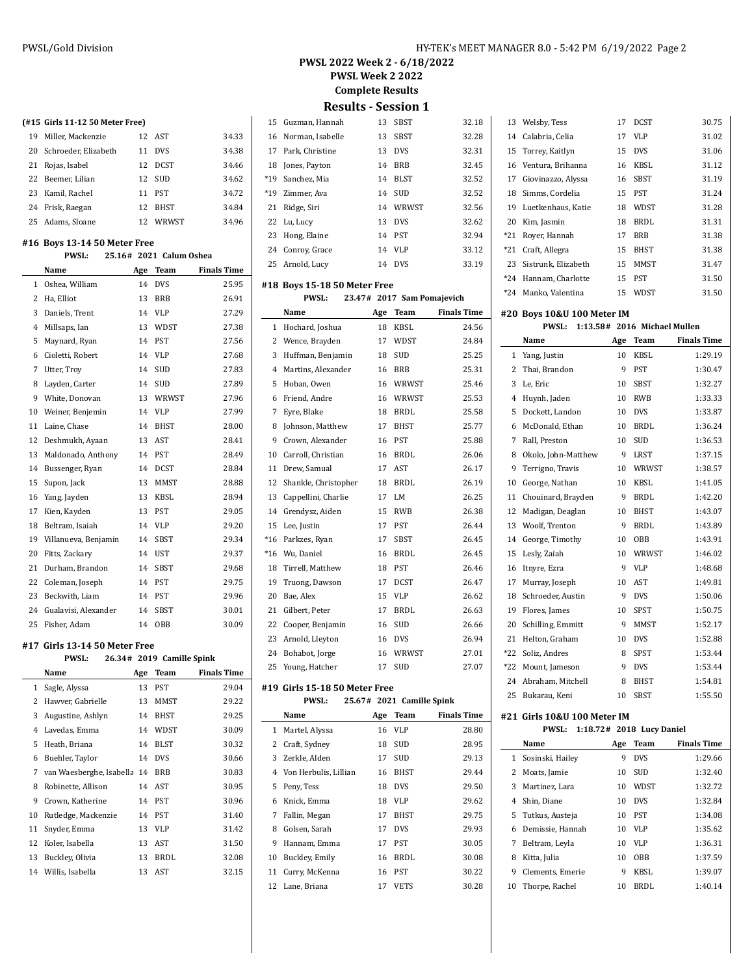$32.18$ 

**PWSL 2022 Week 2 - 6/18/2022**

**PWSL Week 2 2022**

**Complete Results**

**Results - Session 1**

Arnold, Lucy 14 DVS 33.19

|         |       |       | 15 Guzman, Hannah   | 13 | SBST        | 32.18 |
|---------|-------|-------|---------------------|----|-------------|-------|
|         | 34.33 |       | 16 Norman, Isabelle | 13 | SBST        | 32.28 |
|         | 34.38 |       | 17 Park, Christine  | 13 | <b>DVS</b>  | 32.31 |
|         | 34.46 |       | 18 Jones, Payton    | 14 | BRB         | 32.45 |
|         | 34.62 | $*19$ | Sanchez, Mia        | 14 | <b>BLST</b> | 32.52 |
|         | 34.72 | $*19$ | Zimmer, Ava         |    | 14 SUD      | 32.52 |
|         | 34.84 | 21    | Ridge, Siri         |    | 14 WRWST    | 32.56 |
|         | 34.96 |       | 22 Lu, Lucy         | 13 | <b>DVS</b>  | 32.62 |
|         |       | 23    | Hong, Elaine        |    | 14 PST      | 32.94 |
| ı Achaa |       |       | 24 Conroy, Grace    | 14 | VLP         | 33.12 |

 $\overline{\phantom{a}}$ 

## **#18 Boys 15-18 50 Meter Free**

|                | <b>PWSL:</b>         |     | 23.47# 2017 Sam Pomajevich |                    |
|----------------|----------------------|-----|----------------------------|--------------------|
|                | Name                 | Age | <b>Team</b>                | <b>Finals Time</b> |
| 1              | Hochard, Joshua      | 18  | KBSL                       | 24.56              |
| 2              | Wence, Brayden       | 17  | WDST                       | 24.84              |
| 3              | Huffman, Benjamin    | 18  | SUD                        | 25.25              |
| $\overline{4}$ | Martins, Alexander   | 16  | <b>BRB</b>                 | 25.31              |
| 5              | Hoban, Owen          | 16  | WRWST                      | 25.46              |
| 6              | Friend, Andre        | 16  | WRWST                      | 25.53              |
| 7              | Eyre, Blake          | 18  | <b>BRDL</b>                | 25.58              |
| 8              | Johnson, Matthew     | 17  | <b>BHST</b>                | 25.77              |
| 9              | Crown, Alexander     | 16  | <b>PST</b>                 | 25.88              |
| 10             | Carroll, Christian   | 16  | <b>BRDL</b>                | 26.06              |
| 11             | Drew, Samual         | 17  | AST                        | 26.17              |
| 12             | Shankle, Christopher | 18  | <b>BRDL</b>                | 26.19              |
| 13             | Cappellini, Charlie  | 17  | LM                         | 26.25              |
| 14             | Grendysz, Aiden      | 15  | <b>RWB</b>                 | 26.38              |
| 15             | Lee, Justin          | 17  | PST                        | 26.44              |
| $*16$          | Parkzes, Ryan        | 17  | SBST                       | 26.45              |
| $*16$          | Wu, Daniel           | 16  | <b>BRDL</b>                | 26.45              |
| 18             | Tirrell, Matthew     | 18  | PST                        | 26.46              |
| 19             | Truong, Dawson       | 17  | <b>DCST</b>                | 26.47              |
| 20             | Bae, Alex            | 15  | <b>VLP</b>                 | 26.62              |
| 21             | Gilbert, Peter       | 17  | <b>BRDL</b>                | 26.63              |
| 22             | Cooper, Benjamin     | 16  | SUD                        | 26.66              |
| 23             | Arnold, Lleyton      | 16  | <b>DVS</b>                 | 26.94              |
| 24             | Bohabot, Jorge       | 16  | WRWST                      | 27.01              |
| 25             | Young, Hatcher       | 17  | SUD                        | 27.07              |
|                |                      |     |                            |                    |

#### **#19 Girls 15-18 50 Meter Free**

#### **PWSL: 25.67# 2021 Camille Spink**

|    | Name                    | Age | Team        | <b>Finals Time</b> |
|----|-------------------------|-----|-------------|--------------------|
| 1  | Martel, Alyssa          | 16  | VLP         | 28.80              |
| 2  | Craft, Sydney           | 18  | <b>SUD</b>  | 28.95              |
| 3  | Zerkle, Alden           | 17  | <b>SUD</b>  | 29.13              |
|    | 4 Von Herbulis, Lillian | 16  | <b>BHST</b> | 29.44              |
| 5  | Peny, Tess              | 18  | <b>DVS</b>  | 29.50              |
| 6  | Knick, Emma             | 18  | VLP         | 29.62              |
| 7  | Fallin, Megan           | 17  | <b>BHST</b> | 29.75              |
| 8  | Golsen, Sarah           | 17  | <b>DVS</b>  | 29.93              |
| 9  | Hannam, Emma            | 17  | <b>PST</b>  | 30.05              |
| 10 | Buckley, Emily          | 16  | BRDL        | 30.08              |
| 11 | Curry, McKenna          | 16  | <b>PST</b>  | 30.22              |
| 12 | Lane, Briana            | 17  | <b>VETS</b> | 30.28              |

|       | 13 Welsby, Tess       | 17 | <b>DCST</b> | 30.75 |
|-------|-----------------------|----|-------------|-------|
|       | 14 Calabria, Celia    | 17 | <b>VLP</b>  | 31.02 |
|       | 15 Torrey, Kaitlyn    | 15 | <b>DVS</b>  | 31.06 |
|       | 16 Ventura, Brihanna  | 16 | KBSL        | 31.12 |
|       | 17 Giovinazzo, Alyssa | 16 | SBST        | 31.19 |
|       | 18 Simms, Cordelia    | 15 | <b>PST</b>  | 31.24 |
| 19    | Luetkenhaus, Katie    | 18 | WDST        | 31.28 |
| 20    | Kim, Jasmin           | 18 | <b>BRDL</b> | 31.31 |
| *21   | Rover, Hannah         | 17 | <b>BRB</b>  | 31.38 |
|       | *21 Craft, Allegra    | 15 | <b>BHST</b> | 31.38 |
| 23    | Sistrunk, Elizabeth   | 15 | <b>MMST</b> | 31.47 |
| *24   | Hannam, Charlotte     | 15 | <b>PST</b>  | 31.50 |
| $*24$ | Manko, Valentina      | 15 | WDST        | 31.50 |

#### **#20 Boys 10&U 100 Meter IM**

|       | <b>PWSL:</b>        |                 | 1:13.58# 2016 Michael Mullen |                    |
|-------|---------------------|-----------------|------------------------------|--------------------|
|       | Name                | Age             | Team                         | <b>Finals Time</b> |
| 1     | Yang, Justin        | 10              | KBSL                         | 1:29.19            |
| 2     | Thai, Brandon       | 9               | <b>PST</b>                   | 1:30.47            |
| 3     | Le, Eric            | 10              | <b>SBST</b>                  | 1:32.27            |
| 4     | Huynh, Jaden        | 10              | <b>RWB</b>                   | 1:33.33            |
| 5     | Dockett, Landon     | 10 <sup>1</sup> | <b>DVS</b>                   | 1:33.87            |
| 6     | McDonald, Ethan     | 10              | <b>BRDL</b>                  | 1:36.24            |
| 7     | Rall, Preston       | 10              | <b>SUD</b>                   | 1:36.53            |
| 8     | Okolo, John-Matthew | 9               | LRST                         | 1:37.15            |
| 9     | Terrigno, Travis    | 10              | WRWST                        | 1:38.57            |
| 10    | George, Nathan      | 10              | <b>KBSL</b>                  | 1:41.05            |
| 11    | Chouinard, Brayden  | 9               | <b>BRDL</b>                  | 1:42.20            |
| 12    | Madigan, Deaglan    | 10              | <b>BHST</b>                  | 1:43.07            |
| 13    | Woolf, Trenton      | 9               | BRDL                         | 1:43.89            |
| 14    | George, Timothy     | 10              | OBB                          | 1:43.91            |
| 15    | Lesly, Zaiah        | 10              | WRWST                        | 1:46.02            |
| 16    | Itnyre, Ezra        | 9               | VLP                          | 1:48.68            |
| 17    | Murray, Joseph      | 10              | AST                          | 1:49.81            |
| 18    | Schroeder, Austin   | 9               | <b>DVS</b>                   | 1:50.06            |
| 19    | Flores, James       | 10              | SPST                         | 1:50.75            |
| 20    | Schilling, Emmitt   | 9               | <b>MMST</b>                  | 1:52.17            |
| 21    | Helton. Graham      | 10              | <b>DVS</b>                   | 1:52.88            |
| $*22$ | Soliz, Andres       | 8               | <b>SPST</b>                  | 1:53.44            |
| $*22$ | Mount, Jameson      | 9               | <b>DVS</b>                   | 1:53.44            |
| 24    | Abraham, Mitchell   | 8               | <b>BHST</b>                  | 1:54.81            |
| 25    | Bukarau, Keni       | 10              | <b>SBST</b>                  | 1:55.50            |

#### **#21 Girls 10&U 100 Meter IM**

|    | <b>PWSL:</b>      |     | 1:18.72# 2018 Lucy Daniel |                    |
|----|-------------------|-----|---------------------------|--------------------|
|    | Name              | Age | Team                      | <b>Finals Time</b> |
| 1  | Sosinski, Hailey  | 9   | <b>DVS</b>                | 1:29.66            |
| 2  | Moats, Jamie      | 10  | <b>SUD</b>                | 1:32.40            |
| 3  | Martinez, Lara    | 10  | <b>WDST</b>               | 1:32.72            |
| 4  | Shin, Diane       | 10  | <b>DVS</b>                | 1:32.84            |
|    | 5 Tutkus, Austeja | 10  | <b>PST</b>                | 1:34.08            |
| 6  | Demissie, Hannah  | 10  | VLP                       | 1:35.62            |
| 7  | Beltram, Leyla    | 10  | VLP                       | 1:36.31            |
| 8  | Kitta, Julia      | 10  | <b>OBB</b>                | 1:37.59            |
| 9  | Clements, Emerie  | 9   | KBSL                      | 1:39.07            |
| 10 | Thorpe, Rachel    | 10  | BRDL                      | 1:40.14            |

### **(#15 Girls 11-12 50 Meter Free)**

| 19 | Miller, Mackenzie       |    | 12 AST      | 34.33 |
|----|-------------------------|----|-------------|-------|
|    | 20 Schroeder, Elizabeth | 11 | <b>DVS</b>  | 34.38 |
|    | 21 Rojas, Isabel        |    | 12 DCST     | 34.46 |
|    | 22 Beemer, Lilian       |    | 12 SUD      | 34.62 |
|    | 23 Kamil, Rachel        |    | 11 PST      | 34.72 |
|    | 24 Frisk, Raegan        | 12 | <b>BHST</b> | 34.84 |
|    | 25 Adams, Sloane        |    | 12 WRWST    | 34.96 |

## **#16 Boys 13-14 50 Meter Free**

|    | <b>PWSL:</b>         |     | 25.16# 2021 Calum Oshea |                    |
|----|----------------------|-----|-------------------------|--------------------|
|    | Name                 | Age | Team                    | <b>Finals Time</b> |
| 1  | Oshea, William       | 14  | <b>DVS</b>              | 25.95              |
| 2  | Ha, Elliot           | 13  | <b>BRB</b>              | 26.91              |
| 3  | Daniels, Trent       | 14  | <b>VLP</b>              | 27.29              |
| 4  | Millsaps, Ian        | 13  | WDST                    | 27.38              |
| 5  | Maynard, Ryan        | 14  | <b>PST</b>              | 27.56              |
| 6  | Cioletti, Robert     | 14  | <b>VLP</b>              | 27.68              |
| 7  | Utter, Troy          | 14  | SUD                     | 27.83              |
| 8  | Layden, Carter       | 14  | <b>SUD</b>              | 27.89              |
| 9  | White, Donovan       | 13  | WRWST                   | 27.96              |
| 10 | Weiner, Benjemin     | 14  | <b>VLP</b>              | 27.99              |
| 11 | Laine, Chase         | 14  | <b>BHST</b>             | 28.00              |
| 12 | Deshmukh, Ayaan      | 13  | AST                     | 28.41              |
| 13 | Maldonado, Anthony   | 14  | PST                     | 28.49              |
| 14 | Bussenger, Ryan      | 14  | <b>DCST</b>             | 28.84              |
| 15 | Supon, Jack          | 13  | MMST                    | 28.88              |
| 16 | Yang, Jayden         | 13  | <b>KBSL</b>             | 28.94              |
| 17 | Kien, Kayden         | 13  | <b>PST</b>              | 29.05              |
| 18 | Beltram, Isaiah      | 14  | VLP                     | 29.20              |
| 19 | Villanueva, Benjamin | 14  | SBST                    | 29.34              |
| 20 | Fitts, Zackary       | 14  | <b>UST</b>              | 29.37              |
| 21 | Durham, Brandon      | 14  | SBST                    | 29.68              |
| 22 | Coleman, Joseph      | 14  | PST                     | 29.75              |
| 23 | Beckwith, Liam       | 14  | PST                     | 29.96              |
| 24 | Gualavisi, Alexander | 14  | SBST                    | 30.01              |
| 25 | Fisher. Adam         | 14  | OBB                     | 30.09              |

## **#17 Girls 13-14 50 Meter Free**

## **PWSL: 26.34# 2019 Camille Spink**

|              | Name                     | Age | Team        | <b>Finals Time</b> |
|--------------|--------------------------|-----|-------------|--------------------|
| $\mathbf{1}$ | Sagle, Alyssa            | 13  | PST         | 29.04              |
| 2            | Hawver, Gabrielle        | 13  | <b>MMST</b> | 29.22              |
| 3            | Augustine, Ashlyn        | 14  | <b>BHST</b> | 29.25              |
| 4            | Lavedas, Emma            | 14  | WDST        | 30.09              |
| 5            | Heath, Briana            | 14  | <b>BLST</b> | 30.32              |
| 6            | Buehler, Taylor          | 14  | <b>DVS</b>  | 30.66              |
| 7            | van Waesberghe, Isabella | 14  | <b>BRB</b>  | 30.83              |
| 8            | Robinette, Allison       | 14  | AST         | 30.95              |
| 9            | Crown, Katherine         | 14  | PST         | 30.96              |
| 10           | Rutledge, Mackenzie      | 14  | PST         | 31.40              |
| 11           | Snyder, Emma             | 13  | <b>VLP</b>  | 31.42              |
| 12           | Koler, Isabella          | 13  | AST         | 31.50              |
| 13           | Buckley, Olivia          | 13  | <b>BRDL</b> | 32.08              |
|              | 14 Willis, Isabella      | 13  | AST         | 32.15              |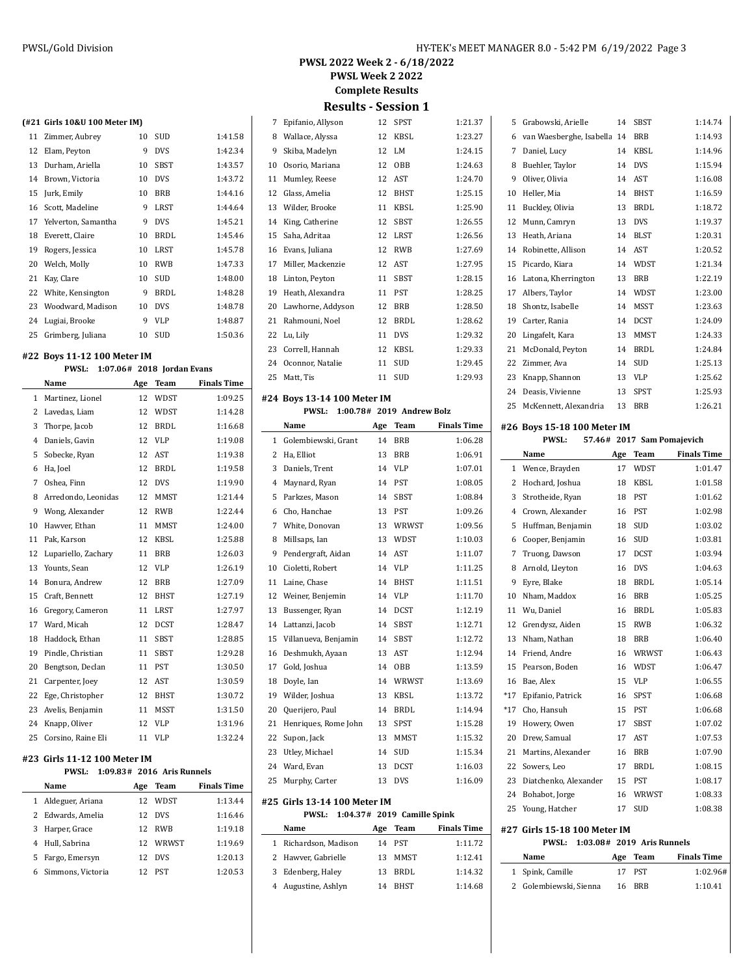| PWSL 2022 Week 2 - 6/18/2022 |
|------------------------------|
| <b>PWSL Week 2 2022</b>      |
| <b>Complete Results</b>      |

**Results - Session 1**

|                               | 7      | Epifanio, Allyson           | 12  | <b>SPST</b>               | 1:21.37            |
|-------------------------------|--------|-----------------------------|-----|---------------------------|--------------------|
| 1:41.58                       | 8      | Wallace, Alyssa             | 12  | KBSL                      | 1:23.27            |
| 1:42.34                       | 9      | Skiba, Madelyn              | 12  | LM                        | 1:24.15            |
| 1:43.57                       |        | 10 Osorio, Mariana          | 12  | OBB                       | 1:24.63            |
| 1:43.72                       | 11     | Mumley, Reese               | 12  | AST                       | 1:24.70            |
| 1:44.16                       | 12     | Glass, Amelia               | 12  | <b>BHST</b>               | 1:25.15            |
| 1:44.64                       | 13     | Wilder, Brooke              | 11  | KBSL                      | 1:25.90            |
| 1:45.21                       | 14     | King, Catherine             | 12  | <b>SBST</b>               | 1:26.55            |
| 1:45.46                       | 15     | Saha, Adritaa               | 12  | <b>LRST</b>               | 1:26.56            |
| 1:45.78                       |        | 16 Evans, Juliana           | 12  | RWB                       | 1:27.69            |
| 1:47.33                       | 17     | Miller, Mackenzie           | 12  | AST                       | 1:27.95            |
| 1:48.00                       | 18     | Linton, Peyton              | 11  | SBST                      | 1:28.15            |
| 1:48.28                       | 19     | Heath, Alexandra            | 11  | PST                       | 1:28.25            |
| 1:48.78                       | 20     | Lawhorne, Addyson           | 12  | BRB                       | 1:28.50            |
| 1:48.87                       | 21     | Rahmouni, Noel              | 12  | BRDL                      | 1:28.62            |
| 1:50.36                       | 22     |                             | 11  | <b>DVS</b>                | 1:29.32            |
|                               |        | Lu, Lily                    |     |                           |                    |
|                               | 23     | Correll, Hannah             | 12  | KBSL                      | 1:29.33            |
| n Evans                       | 24     | Oconnor, Natalie            | 11  | SUD                       | 1:29.45            |
| <b>Finals Time</b>            | 25     | Matt, Tis                   | 11  | SUD                       | 1:29.93            |
| 1:09.25                       |        | #24 Boys 13-14 100 Meter IM |     |                           |                    |
| 1:14.28                       |        | <b>PWSL:</b>                |     | 1:00.78# 2019 Andrew Bolz |                    |
| 1:16.68                       |        | Name                        | Age | Team                      | <b>Finals Time</b> |
| 1:19.08                       | 1      | Golembiewski, Grant         | 14  | <b>BRB</b>                | 1:06.28            |
| 1:19.38                       |        | 2 Ha, Elliot                | 13  | BRB                       | 1:06.91            |
| 1:19.58                       |        | 3 Daniels, Trent            | 14  | VLP                       | 1:07.01            |
| 1:19.90                       | $^{4}$ | Maynard, Ryan               | 14  | PST                       | 1:08.05            |
| 1:21.44                       | 5      | Parkzes, Mason              | 14  | SBST                      | 1:08.84            |
| 1:22.44                       | 6      | Cho, Hanchae                | 13  | PST                       | 1:09.26            |
| 1:24.00                       | 7      | White, Donovan              | 13  | WRWST                     | 1:09.56            |
| 1:25.88                       | 8      | Millsaps, Ian               | 13  | WDST                      | 1:10.03            |
| 1:26.03                       | 9      | Pendergraft, Aidan          | 14  | AST                       | 1:11.07            |
| 1:26.19                       | 10     | Cioletti, Robert            | 14  | VLP                       | 1:11.25            |
| 1:27.09                       | 11     | Laine, Chase                | 14  | <b>BHST</b>               | 1:11.51            |
| 1:27.19                       | 12     | Weiner, Benjemin            | 14  | <b>VLP</b>                | 1:11.70            |
| 1:27.97                       | 13     | Bussenger, Ryan             | 14  | <b>DCST</b>               | 1:12.19            |
| 1:28.47                       |        | 14 Lattanzi, Jacob          | 14  | SBST                      | 1:12.71            |
| 1:28.85                       | 15     | Villanueva, Benjamin        | 14  | SBST                      | 1:12.72            |
| 1:29.28                       | 16     | Deshmukh, Ayaan             | 13  | AST                       | 1:12.94            |
| 1:30.50                       |        | 17 Gold, Joshua             |     | 14 OBB                    | 1:13.59            |
| 1:30.59                       |        | Doyle, Ian                  | 14  | WRWST                     | 1:13.69            |
| 1:30.72                       | 18     |                             |     |                           |                    |
| 1:31.50                       | 19     | Wilder, Joshua              | 13  | KBSL                      | 1:13.72            |
| 1:31.96                       | 20     | Querijero, Paul             | 14  | BRDL                      | 1:14.94            |
|                               | 21     | Henriques, Rome John        | 13  | SPST                      | 1:15.28            |
| 1:32.24                       | 22     | Supon, Jack                 | 13  | MMST                      | 1:15.32            |
|                               | 23     | Utley, Michael              | 14  | SUD                       | 1:15.34            |
|                               | 24     | Ward, Evan                  | 13  | <b>DCST</b>               | 1:16.03            |
| tunnels<br><b>Finals Time</b> | 25     | Murphy, Carter              | 13  | DVS                       | 1:16.09            |

## **#25 Girls 13-14 100 Meter IM**

 $\sim$ 

**PWSL: 1:04.37# 2019 Camille Spink**

|   | Name                  | Age | Team        | <b>Finals Time</b> |
|---|-----------------------|-----|-------------|--------------------|
|   | 1 Richardson, Madison | 14  | <b>PST</b>  | 1:11.72            |
|   | 2 Hawver, Gabrielle   | 13  | <b>MMST</b> | 1.12.41            |
| 3 | Edenberg, Haley       | 13  | RRDI.       | 1:14.32            |
|   | Augustine, Ashlyn     | 14  | <b>RHST</b> | 1:14.68            |

| 5  | Grabowski, Arielle       | 14 | <b>SBST</b> | 1:14.74 |
|----|--------------------------|----|-------------|---------|
| 6  | van Waesberghe, Isabella | 14 | <b>BRB</b>  | 1:14.93 |
| 7  | Daniel, Lucy             | 14 | <b>KBSL</b> | 1:14.96 |
| 8  | Buehler, Taylor          | 14 | <b>DVS</b>  | 1:15.94 |
| 9  | Oliver, Olivia           | 14 | AST         | 1:16.08 |
| 10 | Heller, Mia              | 14 | <b>BHST</b> | 1:16.59 |
| 11 | Buckley, Olivia          | 13 | BRDL        | 1:18.72 |
| 12 | Munn, Camryn             | 13 | <b>DVS</b>  | 1:19.37 |
| 13 | Heath, Ariana            | 14 | <b>BLST</b> | 1:20.31 |
| 14 | Robinette, Allison       | 14 | <b>AST</b>  | 1:20.52 |
| 15 | Picardo, Kiara           | 14 | WDST        | 1:21.34 |
| 16 | Latona, Kherrington      | 13 | <b>BRB</b>  | 1:22.19 |
| 17 | Albers, Taylor           | 14 | <b>WDST</b> | 1:23.00 |
| 18 | Shontz, Isabelle         | 14 | <b>MSST</b> | 1:23.63 |
| 19 | Carter, Rania            | 14 | <b>DCST</b> | 1:24.09 |
| 20 | Lingafelt, Kara          | 13 | MMST        | 1:24.33 |
| 21 | McDonald, Peyton         | 14 | BRDL        | 1:24.84 |
| 22 | Zimmer, Ava              | 14 | <b>SUD</b>  | 1:25.13 |
| 23 | Knapp, Shannon           | 13 | VLP         | 1:25.62 |
| 24 | Deasis, Vivienne         | 13 | SPST        | 1:25.93 |
| 25 | McKennett, Alexandria    | 13 | <b>BRB</b>  | 1:26.21 |

## **#26 Boys 15-18 100 Meter IM**

|                | <b>PWSL:</b>          |     | 57.46# 2017 Sam Pomajevich |                    |
|----------------|-----------------------|-----|----------------------------|--------------------|
|                | Name                  | Age | Team                       | <b>Finals Time</b> |
| 1              | Wence, Brayden        | 17  | <b>WDST</b>                | 1:01.47            |
| 2              | Hochard, Joshua       | 18  | <b>KBSL</b>                | 1:01.58            |
| 3              | Strotheide, Ryan      | 18  | <b>PST</b>                 | 1:01.62            |
| $\overline{4}$ | Crown, Alexander      | 16  | <b>PST</b>                 | 1:02.98            |
| 5              | Huffman, Benjamin     | 18  | <b>SUD</b>                 | 1:03.02            |
| 6              | Cooper, Benjamin      | 16  | <b>SUD</b>                 | 1:03.81            |
| 7              | Truong, Dawson        | 17  | <b>DCST</b>                | 1:03.94            |
| 8              | Arnold, Lleyton       | 16  | <b>DVS</b>                 | 1:04.63            |
| 9              | Eyre, Blake           | 18  | <b>BRDL</b>                | 1:05.14            |
| 10             | Nham, Maddox          | 16  | <b>BRB</b>                 | 1:05.25            |
| 11             | Wu, Daniel            | 16  | <b>BRDL</b>                | 1:05.83            |
| 12             | Grendysz, Aiden       | 15  | <b>RWB</b>                 | 1:06.32            |
| 13             | Nham, Nathan          | 18  | <b>BRB</b>                 | 1:06.40            |
| 14             | Friend, Andre         | 16  | WRWST                      | 1:06.43            |
| 15             | Pearson, Boden        | 16  | <b>WDST</b>                | 1:06.47            |
| 16             | Bae, Alex             | 15  | <b>VLP</b>                 | 1:06.55            |
| $*17$          | Epifanio, Patrick     | 16  | <b>SPST</b>                | 1:06.68            |
| $*17$          | Cho, Hansuh           | 15  | PST                        | 1:06.68            |
| 19             | Howery, Owen          | 17  | <b>SBST</b>                | 1:07.02            |
| 20             | Drew, Samual          | 17  | AST                        | 1:07.53            |
| 21             | Martins, Alexander    | 16  | <b>BRB</b>                 | 1:07.90            |
| 22             | Sowers, Leo           | 17  | <b>BRDL</b>                | 1:08.15            |
| 23             | Diatchenko, Alexander | 15  | PST                        | 1:08.17            |
| 24             | Bohabot, Jorge        | 16  | WRWST                      | 1:08.33            |
| 25             | Young, Hatcher        | 17  | <b>SUD</b>                 | 1:08.38            |

#### **#27 Girls 15-18 100 Meter IM PWSL: 1:03.08# 2019 Aris Runnels**

| $PWSL: 1:03.08 \# 2019$ Aris Runnels |          |             |
|--------------------------------------|----------|-------------|
| Name                                 | Age Team | Finals Time |
| 1 Spink, Camille                     | 17 PST   | 1:02.96#    |
| 2 Golembiewski, Sienna               | 16 BRB   | 1:10.41     |

**(#21 Girls 10&U 100 Meter IM)**

| 11 | Zimmer, Aubrey       | 10 | <b>SUD</b>  | 1:41.58 |
|----|----------------------|----|-------------|---------|
| 12 | Elam, Peyton         | 9  | <b>DVS</b>  | 1:42.34 |
| 13 | Durham, Ariella      | 10 | <b>SBST</b> | 1:43.57 |
| 14 | Brown, Victoria      | 10 | <b>DVS</b>  | 1:43.72 |
| 15 | Jurk, Emily          | 10 | <b>BRB</b>  | 1:44.16 |
| 16 | Scott, Madeline      | 9  | LRST        | 1:44.64 |
| 17 | Yelverton, Samantha  | 9  | <b>DVS</b>  | 1:45.21 |
| 18 | Everett, Claire      | 10 | <b>BRDL</b> | 1:45.46 |
| 19 | Rogers, Jessica      | 10 | LRST        | 1:45.78 |
| 20 | Welch, Molly         | 10 | <b>RWB</b>  | 1:47.33 |
| 21 | Kay, Clare           | 10 | <b>SUD</b>  | 1:48.00 |
|    | 22 White, Kensington | 9  | <b>BRDL</b> | 1:48.28 |
|    | 23 Woodward, Madison | 10 | <b>DVS</b>  | 1:48.78 |
| 24 | Lugiai, Brooke       | 9  | <b>VLP</b>  | 1:48.87 |
| 25 | Grimberg, Juliana    | 10 | SUD         | 1:50.36 |

#### **#22 Boys 11-12 100 Meter IM**

**PWSL:** 1:07.06# 2018 **Jordan** 

|              | Name                         | Age | <b>Team</b> | <b>Finals Time</b> |
|--------------|------------------------------|-----|-------------|--------------------|
| $\mathbf{1}$ | Martinez, Lionel             | 12  | <b>WDST</b> | 1:09.25            |
| 2            | Lavedas, Liam                | 12  | WDST        | 1:14.28            |
| 3            | Thorpe, Jacob                | 12  | <b>BRDL</b> | 1:16.68            |
| 4            | Daniels, Gavin               | 12  | <b>VLP</b>  | 1:19.08            |
| 5            | Sobecke, Ryan                | 12  | <b>AST</b>  | 1:19.38            |
| 6            | Ha, Joel                     | 12  | <b>BRDL</b> | 1:19.58            |
| 7            | Oshea, Finn                  | 12  | <b>DVS</b>  | 1:19.90            |
| 8            | Arredondo, Leonidas          | 12  | MMST        | 1:21.44            |
| 9            | Wong, Alexander              | 12  | <b>RWB</b>  | 1:22.44            |
| 10           | Hawver, Ethan                | 11  | MMST        | 1:24.00            |
| 11           | Pak, Karson                  | 12  | <b>KBSL</b> | 1:25.88            |
| 12           | Lupariello, Zachary          | 11  | <b>BRB</b>  | 1:26.03            |
| 13           | Younts, Sean                 | 12  | <b>VLP</b>  | 1:26.19            |
| 14           | Bonura, Andrew               | 12  | <b>BRB</b>  | 1:27.09            |
| 15           | Craft, Bennett               | 12  | <b>BHST</b> | 1:27.19            |
| 16           | Gregory, Cameron             | 11  | <b>LRST</b> | 1:27.97            |
| 17           | Ward, Micah                  | 12  | <b>DCST</b> | 1:28.47            |
| 18           | Haddock, Ethan               | 11  | <b>SBST</b> | 1:28.85            |
| 19           | Pindle, Christian            | 11  | <b>SBST</b> | 1:29.28            |
| 20           | Bengtson, Declan             | 11  | PST         | 1:30.50            |
| 21           | Carpenter, Joey              | 12  | AST         | 1:30.59            |
| 22           | Ege, Christopher             | 12  | BHST        | 1:30.72            |
| 23           | Avelis, Benjamin             | 11  | <b>MSST</b> | 1:31.50            |
| 24           | Knapp, Oliver                | 12  | <b>VLP</b>  | 1:31.96            |
| 25           | Corsino, Raine Eli           | 11  | <b>VLP</b>  | 1:32.24            |
|              | #23 Girls 11-12 100 Meter IM |     |             |                    |

# **PWSL:** 1:09.83# 2016 Aris R

|    | Name              | Age | Team       | <b>Finals Time</b> |
|----|-------------------|-----|------------|--------------------|
|    | Aldeguer, Ariana  | 12  | WDST       | 1:13.44            |
|    | 2 Edwards, Amelia | 12  | <b>DVS</b> | 1:16.46            |
| 3  | Harper, Grace     | 12  | <b>RWR</b> | 1:19.18            |
| 4  | Hull, Sabrina     | 12  | WRWST      | 1:19.69            |
| 5. | Fargo, Emersyn    | 12  | <b>DVS</b> | 1:20.13            |
|    | Simmons, Victoria | 12  | PST        | 1:20.53            |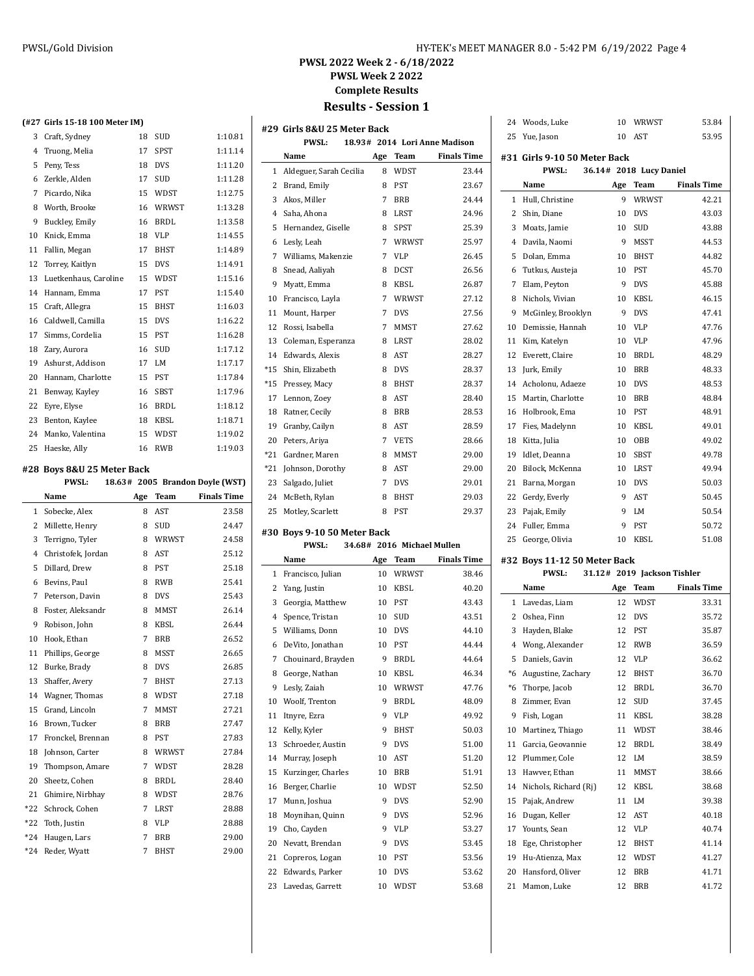## **PWSL 2022 Week 2 - 6/18/2022 PWSL Week 2 2022 Complete Results Results - Session 1**

|                | (#27 Girls 15-18 100 Meter IM)                        |        |             |                          |
|----------------|-------------------------------------------------------|--------|-------------|--------------------------|
| 3              | Craft, Sydney                                         | 18     | SUD         | 1:10.81                  |
| $\overline{4}$ | Truong, Melia                                         | 17     | <b>SPST</b> | 1:11.14                  |
| 5              | Peny, Tess                                            | 18     | <b>DVS</b>  | 1:11.20                  |
| 6              | Zerkle, Alden                                         | 17     | <b>SUD</b>  | 1:11.28                  |
| 7              | Picardo, Nika                                         | 15     | WDST        | 1:12.75                  |
| 8              | Worth, Brooke                                         | 16     | WRWST       | 1:13.28                  |
| 9              | Buckley, Emily                                        | 16     | BRDL        | 1:13.58                  |
| 10             | Knick, Emma                                           | 18     | <b>VLP</b>  | 1:14.55                  |
| 11             | Fallin, Megan                                         | 17     | <b>BHST</b> | 1:14.89                  |
| 12             | Torrey, Kaitlyn                                       | 15     | <b>DVS</b>  | 1:14.91                  |
| 13             | Luetkenhaus, Caroline                                 | 15     | WDST        | 1:15.16                  |
| 14             | Hannam, Emma                                          | 17     | <b>PST</b>  | 1:15.40                  |
| 15             | Craft, Allegra                                        | 15     | <b>BHST</b> | 1:16.03                  |
| 16             | Caldwell, Camilla                                     | 15     | <b>DVS</b>  | 1:16.22                  |
| 17             | Simms, Cordelia                                       | 15     | PST         | 1:16.28                  |
| 18             | Zary, Aurora                                          | 16     | SUD         | 1:17.12                  |
| 19             | Ashurst, Addison                                      | 17     | LM          | 1:17.17                  |
| 20             | Hannam, Charlotte                                     | 15     | <b>PST</b>  | 1:17.84                  |
| 21             | Benway, Kayley                                        | 16     | SBST        | 1:17.96                  |
| 22             | Eyre, Elyse                                           | 16     | <b>BRDL</b> | 1:18.12                  |
| 23             | Benton, Kaylee                                        | 18     | <b>KBSL</b> | 1:18.71                  |
| 24             | Manko, Valentina                                      | 15     | WDST        | 1:19.02                  |
| 25             | Haeske, Ally                                          | 16     | <b>RWB</b>  | 1:19.03                  |
|                |                                                       |        |             |                          |
|                | #28  Boys 8&U 25 Meter Back<br><b>PWSL:</b><br>18.63# |        |             |                          |
|                |                                                       |        |             |                          |
|                |                                                       |        |             | 2005 Brandon Doyle (WST) |
|                | Name                                                  | Age    | Team        | <b>Finals Time</b>       |
| 1              | Sobecke, Alex                                         | 8      | <b>AST</b>  | 23.58                    |
| 2              | Millette, Henry                                       | 8      | SUD         | 24.47                    |
| 3              | Terrigno, Tyler                                       | 8      | WRWST       | 24.58                    |
| $\overline{4}$ | Christofek, Jordan                                    | 8      | AST         | 25.12                    |
| 5              | Dillard, Drew                                         | 8      | <b>PST</b>  | 25.18                    |
| 6              | Bevins, Paul                                          | 8      | <b>RWB</b>  | 25.41                    |
| 7              | Peterson, Davin                                       | 8      | <b>DVS</b>  | 25.43                    |
| 8              | Foster, Aleksandr                                     | 8      | <b>MMST</b> | 26.14                    |
| 9              | Robison, John                                         | 8      | KBSL        | 26.44                    |
| 10             | Hook, Ethan                                           | 7      | <b>BRB</b>  | 26.52                    |
| 11             | Phillips, George                                      | 8      | <b>MSST</b> | 26.65                    |
|                | 12 Burke, Brady                                       | 8      | <b>DVS</b>  | 26.85                    |
| 13             | Shaffer, Avery                                        | 7      | BHST        | 27.13                    |
| 14             | Wagner, Thomas                                        | 8      | WDST        | 27.18                    |
| 15             | Grand, Lincoln                                        | 7      | MMST        | 27.21                    |
| 16             | Brown, Tucker                                         | 8      | BRB         | 27.47                    |
| 17             | Fronckel, Brennan                                     | 8      | <b>PST</b>  | 27.83                    |
| 18             | Johnson, Carter                                       | 8      | WRWST       | 27.84                    |
| 19             | Thompson, Amare                                       | 7      | WDST        | 28.28                    |
| 20             | Sheetz, Cohen                                         | 8      | BRDL        | 28.40                    |
| 21             | Ghimire, Nirbhay                                      | 8      | WDST        | 28.76                    |
| *22            | Schrock, Cohen                                        | 7      | LRST        | 28.88                    |
| *22            | Toth, Justin                                          | 8      | VLP         | 28.88                    |
| *24<br>*24     | Haugen, Lars<br>Reder, Wyatt                          | 7<br>7 | BRB<br>BHST | 29.00<br>29.00           |

|                | #29 Girls 8&U 25 Meter Back            |          |                            |                               |
|----------------|----------------------------------------|----------|----------------------------|-------------------------------|
|                | PWSL:                                  |          |                            | 18.93# 2014 Lori Anne Madison |
|                | Name                                   | Age      | Team                       | <b>Finals Time</b>            |
| 1              | Aldeguer, Sarah Cecilia                | 8        | WDST                       | 23.44                         |
| 2              | Brand, Emily                           | 8        | PST                        | 23.67                         |
| 3              | Akos, Miller                           | 7        | <b>BRB</b>                 | 24.44                         |
| $\overline{4}$ | Saha, Ahona                            | 8        | <b>LRST</b>                | 24.96                         |
| 5              | Hernandez, Giselle                     | 8        | SPST                       | 25.39                         |
| 6              | Lesly, Leah                            | 7        | WRWST                      | 25.97                         |
| 7              | Williams, Makenzie                     | 7        | <b>VLP</b>                 | 26.45                         |
| 8              | Snead, Aaliyah                         | 8        | <b>DCST</b>                | 26.56                         |
| 9              | Myatt, Emma                            | 8        | KBSL                       | 26.87                         |
| 10             | Francisco, Layla                       | 7        | WRWST                      | 27.12                         |
| 11             | Mount, Harper                          | 7        | <b>DVS</b>                 | 27.56                         |
| 12             | Rossi, Isabella                        | 7        | <b>MMST</b>                | 27.62                         |
| 13             | Coleman, Esperanza                     | 8        | LRST                       | 28.02                         |
| 14             | Edwards, Alexis                        | 8        | AST                        | 28.27                         |
| $*15$          | Shin, Elizabeth                        | 8        | <b>DVS</b>                 | 28.37                         |
| $*15$          | Pressey, Macy                          | 8        | <b>BHST</b>                | 28.37                         |
| 17             | Lennon, Zoey                           | 8        | AST                        | 28.40                         |
| 18             | Ratner, Cecily                         | 8        | <b>BRB</b>                 | 28.53                         |
| 19             | Granby, Cailyn                         | 8        | AST                        | 28.59                         |
| 20             | Peters, Ariya                          | 7        | <b>VETS</b>                | 28.66                         |
| $*21$          | Gardner, Maren                         | 8        | MMST                       | 29.00                         |
| $*21$          | Johnson, Dorothy                       | 8        | AST                        | 29.00                         |
| 23             | Salgado, Juliet                        | 7        | <b>DVS</b>                 | 29.01                         |
| 24             | McBeth, Rylan                          | 8        | <b>BHST</b>                | 29.03                         |
|                |                                        |          |                            |                               |
| 25             | Motley, Scarlett                       | 8        | PST                        | 29.37                         |
|                |                                        |          |                            |                               |
|                | #30  Boys 9-10 50 Meter Back           |          |                            |                               |
|                | <b>PWSL:</b><br>Name                   |          | 34.68# 2016 Michael Mullen |                               |
| 1              |                                        | Age      | Team                       | <b>Finals Time</b>            |
| 2              | Francisco, Julian                      | 10<br>10 | WRWST<br>KBSL              | 38.46<br>40.20                |
| 3              | Yang, Justin                           | 10       | <b>PST</b>                 | 43.43                         |
| $\overline{4}$ | Georgia, Matthew                       | 10       | <b>SUD</b>                 | 43.51                         |
| 5              | Spence, Tristan                        | 10       | <b>DVS</b>                 | 44.10                         |
| 6              | Williams, Donn                         | 10       | <b>PST</b>                 | 44.44                         |
| 7              | DeVito, Jonathan<br>Chouinard, Brayden | 9        | <b>BRDL</b>                | 44.64                         |
|                |                                        |          |                            |                               |
| 8<br>9         | George, Nathan<br>Lesly, Zaiah         | 10<br>10 | KBSL<br>WRWST              | 46.34<br>47.76                |
| 10             | Woolf, Trenton                         | 9        | <b>BRDL</b>                | 48.09                         |
| 11             | Itnyre, Ezra                           | 9        | VLP                        | 49.92                         |
| 12             | Kelly, Kyler                           | 9        | <b>BHST</b>                | 50.03                         |
| 13             | Schroeder, Austin                      | 9        | <b>DVS</b>                 | 51.00                         |
| 14             | Murray, Joseph                         | 10       | AST                        | 51.20                         |
| 15             | Kurzinger, Charles                     | 10       | <b>BRB</b>                 | 51.91                         |
| 16             | Berger, Charlie                        | 10       | WDST                       | 52.50                         |
| 17             | Munn, Joshua                           | 9        | <b>DVS</b>                 | 52.90                         |
| 18             | Moynihan, Quinn                        | 9        | <b>DVS</b>                 | 52.96                         |
| 19             | Cho, Cayden                            | 9        | VLP                        | 53.27                         |
| 20             | Nevatt, Brendan                        | 9        | DVS                        | 53.45                         |
| 21             | Copreros, Logan                        | 10       | PST                        | 53.56                         |
| 22             | Edwards, Parker                        | 10       | <b>DVS</b>                 | 53.62                         |

 $\frac{1}{2}$ 

|   | 24 Woods, Luke                               | 10                      | WRWST      | 53.84              |
|---|----------------------------------------------|-------------------------|------------|--------------------|
|   | 25 Yue, Jason                                | 10                      | AST        | 53.95              |
|   | #31 Girls 9-10 50 Meter Back<br><b>PWSL:</b> | 36.14# 2018 Lucy Daniel |            |                    |
|   |                                              |                         |            |                    |
|   | Name                                         | Age                     | Team       | <b>Finals Time</b> |
| 1 | Hull, Christine                              | 9                       | WRWST      | 42.21              |
|   | 2 Shin, Diane                                | 10                      | <b>DVS</b> | 43.03              |
| 3 | Moats, Jamie                                 | 10                      | <b>SUD</b> | 43.88              |

| 5  | Dolan, Emma        | 10 | <b>BHST</b> | 44.82 |
|----|--------------------|----|-------------|-------|
| 6  | Tutkus, Austeja    | 10 | <b>PST</b>  | 45.70 |
| 7  | Elam, Peyton       | 9  | <b>DVS</b>  | 45.88 |
| 8  | Nichols, Vivian    | 10 | <b>KBSL</b> | 46.15 |
| 9  | McGinley, Brooklyn | 9  | <b>DVS</b>  | 47.41 |
| 10 | Demissie, Hannah   | 10 | <b>VLP</b>  | 47.76 |
| 11 | Kim, Katelyn       | 10 | <b>VLP</b>  | 47.96 |
| 12 | Everett, Claire    | 10 | <b>BRDL</b> | 48.29 |
| 13 | Jurk, Emily        | 10 | <b>BRB</b>  | 48.33 |
| 14 | Acholonu, Adaeze   | 10 | <b>DVS</b>  | 48.53 |
| 15 | Martin, Charlotte  | 10 | <b>BRB</b>  | 48.84 |
| 16 | Holbrook, Ema      | 10 | <b>PST</b>  | 48.91 |
| 17 | Fies, Madelynn     | 10 | <b>KBSL</b> | 49.01 |
| 18 | Kitta, Julia       | 10 | <b>OBB</b>  | 49.02 |
| 19 | Idlet, Deanna      | 10 | <b>SBST</b> | 49.78 |
| 20 | Bilock, McKenna    | 10 | <b>LRST</b> | 49.94 |
| 21 | Barna, Morgan      | 10 | <b>DVS</b>  | 50.03 |
| 22 | Gerdy, Everly      | 9  | <b>AST</b>  | 50.45 |
| 23 | Pajak, Emily       | 9  | LM          | 50.54 |
| 24 | Fuller, Emma       | 9  | <b>PST</b>  | 50.72 |
| 25 | George, Olivia     | 10 | <b>KBSL</b> | 51.08 |

## **#32 Boys 11-12 50 Meter Back**

|      | <b>PWSL:</b>          |     | 31.12# 2019 Jackson Tishler |                    |
|------|-----------------------|-----|-----------------------------|--------------------|
|      | Name                  | Age | Team                        | <b>Finals Time</b> |
| 1    | Lavedas, Liam         | 12  | <b>WDST</b>                 | 33.31              |
| 2    | Oshea, Finn           | 12  | <b>DVS</b>                  | 35.72              |
| 3    | Hayden, Blake         | 12  | <b>PST</b>                  | 35.87              |
| 4    | Wong, Alexander       | 12  | <b>RWB</b>                  | 36.59              |
| 5    | Daniels, Gavin        | 12  | <b>VLP</b>                  | 36.62              |
| $*6$ | Augustine, Zachary    | 12  | <b>BHST</b>                 | 36.70              |
| $*6$ | Thorpe, Jacob         | 12  | BRDL                        | 36.70              |
| 8    | Zimmer, Evan          | 12  | <b>SUD</b>                  | 37.45              |
| 9    | Fish, Logan           | 11  | <b>KBSL</b>                 | 38.28              |
| 10   | Martinez, Thiago      | 11  | WDST                        | 38.46              |
| 11   | Garcia, Geovannie     | 12  | <b>BRDL</b>                 | 38.49              |
| 12   | Plummer, Cole         | 12  | LM                          | 38.59              |
| 13   | Hawver, Ethan         | 11  | MMST                        | 38.66              |
| 14   | Nichols, Richard (Ri) | 12  | <b>KBSL</b>                 | 38.68              |
| 15   | Pajak, Andrew         | 11  | LM                          | 39.38              |
| 16   | Dugan, Keller         | 12  | AST                         | 40.18              |
| 17   | Younts, Sean          | 12  | <b>VLP</b>                  | 40.74              |
| 18   | Ege, Christopher      | 12  | BHST                        | 41.14              |
| 19   | Hu-Atienza, Max       | 12  | <b>WDST</b>                 | 41.27              |
| 20   | Hansford, Oliver      | 12  | <b>BRB</b>                  | 41.71              |
| 21   | Mamon, Luke           | 12  | <b>BRB</b>                  | 41.72              |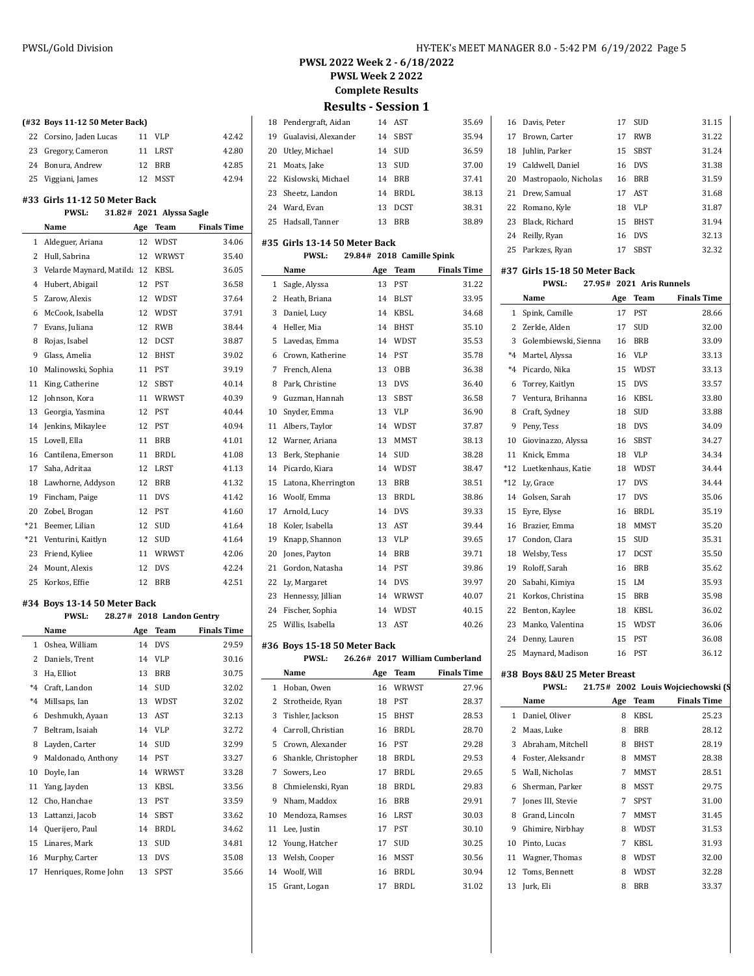| HY-TEK's MEET MANAGER 8.0 - 5:42 PM 6/19/2022 Page 5 |  |  |  |
|------------------------------------------------------|--|--|--|
|------------------------------------------------------|--|--|--|

**PWSL Week 2 2022**

**Complete Results**

|  |  |  |  |  | (#32 Boys 11-12 50 Meter Back) |
|--|--|--|--|--|--------------------------------|
|--|--|--|--|--|--------------------------------|

| 22 Corsino, Jaden Lucas | 11 | VLP     | 42.42 |
|-------------------------|----|---------|-------|
| 23 Gregory, Cameron     |    | 11 LRST | 42.80 |
| 24 Bonura, Andrew       |    | 12 BRB  | 42.85 |
| 25 Viggiani, James      | 12 | MSST    | 42.94 |

#### **#33 Girls 11-12 50 Meter Back**

#### **PWSL: 31.82# 2021 Alyssa Sagle Name Age Team Finals Time**

|              | Name                     | age | геаш        | гшать гипе |
|--------------|--------------------------|-----|-------------|------------|
| $\mathbf{1}$ | Aldeguer, Ariana         | 12  | WDST        | 34.06      |
| 2            | Hull, Sabrina            | 12  | WRWST       | 35.40      |
| 3            | Velarde Maynard, Matilda | 12  | <b>KBSL</b> | 36.05      |
| 4            | Hubert, Abigail          | 12  | <b>PST</b>  | 36.58      |
| 5            | Zarow, Alexis            | 12  | <b>WDST</b> | 37.64      |
| 6            | McCook, Isabella         | 12  | WDST        | 37.91      |
| 7            | Evans, Juliana           | 12  | <b>RWB</b>  | 38.44      |
| 8            | Rojas, Isabel            | 12  | <b>DCST</b> | 38.87      |
| 9            | Glass, Amelia            | 12  | <b>BHST</b> | 39.02      |
| 10           | Malinowski, Sophia       | 11  | PST         | 39.19      |
| 11           | King, Catherine          | 12  | <b>SBST</b> | 40.14      |
| 12           | Johnson, Kora            | 11  | WRWST       | 40.39      |
| 13           | Georgia, Yasmina         | 12  | <b>PST</b>  | 40.44      |
| 14           | Jenkins, Mikaylee        | 12  | PST         | 40.94      |
| 15           | Lovell, Ella             | 11  | <b>BRB</b>  | 41.01      |
| 16           | Cantilena, Emerson       | 11  | <b>BRDL</b> | 41.08      |
| 17           | Saha, Adritaa            | 12  | <b>LRST</b> | 41.13      |
| 18           | Lawhorne, Addyson        | 12  | <b>BRB</b>  | 41.32      |
| 19           | Fincham, Paige           | 11  | <b>DVS</b>  | 41.42      |
| 20           | Zobel, Brogan            | 12  | <b>PST</b>  | 41.60      |
| *21          | Beemer, Lilian           | 12  | <b>SUD</b>  | 41.64      |
| *21          | Venturini, Kaitlyn       | 12  | <b>SUD</b>  | 41.64      |
| 23           | Friend, Kyliee           | 11  | WRWST       | 42.06      |
| 24           | Mount, Alexis            | 12  | <b>DVS</b>  | 42.24      |
| 25           | Korkos, Effie            | 12  | <b>BRB</b>  | 42.51      |

#### **#34 Boys 13-14 50 Meter Back**

|              | <b>PWSL:</b>         |     | 28.27# 2018 Landon Gentry |                    |
|--------------|----------------------|-----|---------------------------|--------------------|
|              | Name                 | Age | Team                      | <b>Finals Time</b> |
| $\mathbf{1}$ | Oshea, William       | 14  | <b>DVS</b>                | 29.59              |
| 2            | Daniels, Trent       | 14  | <b>VLP</b>                | 30.16              |
| 3            | Ha, Elliot           | 13  | <b>BRB</b>                | 30.75              |
| $*4$         | Craft, Landon        | 14  | <b>SUD</b>                | 32.02              |
| $*4$         | Millsaps, Ian        | 13  | WDST                      | 32.02              |
| 6            | Deshmukh, Ayaan      | 13  | <b>AST</b>                | 32.13              |
| 7            | Beltram, Isaiah      | 14  | <b>VLP</b>                | 32.72              |
| 8            | Layden, Carter       | 14  | <b>SUD</b>                | 32.99              |
| 9            | Maldonado, Anthony   | 14  | PST                       | 33.27              |
| 10           | Doyle, Ian           | 14  | WRWST                     | 33.28              |
| 11           | Yang, Jayden         | 13  | <b>KBSL</b>               | 33.56              |
| 12           | Cho, Hanchae         | 13  | <b>PST</b>                | 33.59              |
| 13           | Lattanzi, Jacob      | 14  | <b>SBST</b>               | 33.62              |
| 14           | Querijero, Paul      | 14  | <b>BRDL</b>               | 34.62              |
| 15           | Linares, Mark        | 13  | <b>SUD</b>                | 34.81              |
| 16           | Murphy, Carter       | 13  | <b>DVS</b>                | 35.08              |
| 17           | Henriques, Rome John | 13  | <b>SPST</b>               | 35.66              |

## **Results - Session 1** Pendergraft, Aidan 14 AST 35.69 Gualavisi, Alexander 14 SBST 35.94 20 Utley, Michael 14 SUD 36.59 Moats, Jake 13 SUD 37.00 Kislowski, Michael 14 BRB 37.41 Sheetz, Landon 14 BRDL 38.13 Ward, Evan 13 DCST 38.31

## Hadsall, Tanner 13 BRB 38.89 **#35 Girls 13-14 50 Meter Back PWSL: 29.84# 2018 Camille Spink**

|                | L MOL:              |     | 49.04# 4010 Сашше эршк |                    |
|----------------|---------------------|-----|------------------------|--------------------|
|                | Name                | Age | <b>Team</b>            | <b>Finals Time</b> |
| $\mathbf{1}$   | Sagle, Alyssa       | 13  | <b>PST</b>             | 31.22              |
| 2              | Heath, Briana       | 14  | <b>BLST</b>            | 33.95              |
| 3              | Daniel, Lucy        | 14  | KBSL                   | 34.68              |
| $\overline{4}$ | Heller, Mia         | 14  | <b>BHST</b>            | 35.10              |
| 5              | Lavedas, Emma       | 14  | <b>WDST</b>            | 35.53              |
| 6              | Crown, Katherine    | 14  | PST                    | 35.78              |
| 7              | French, Alena       | 13  | <b>OBB</b>             | 36.38              |
| 8              | Park, Christine     | 13  | <b>DVS</b>             | 36.40              |
| 9              | Guzman, Hannah      | 13  | SBST                   | 36.58              |
| 10             | Snyder, Emma        | 13  | VLP                    | 36.90              |
| 11             | Albers, Taylor      | 14  | <b>WDST</b>            | 37.87              |
| 12             | Warner, Ariana      | 13  | <b>MMST</b>            | 38.13              |
| 13             | Berk, Stephanie     | 14  | <b>SUD</b>             | 38.28              |
| 14             | Picardo, Kiara      | 14  | <b>WDST</b>            | 38.47              |
| 15             | Latona, Kherrington | 13  | <b>BRB</b>             | 38.51              |
| 16             | Woolf, Emma         | 13  | <b>BRDL</b>            | 38.86              |
| 17             | Arnold, Lucy        | 14  | <b>DVS</b>             | 39.33              |
| 18             | Koler, Isabella     | 13  | AST                    | 39.44              |
| 19             | Knapp, Shannon      | 13  | <b>VLP</b>             | 39.65              |
| 20             | Jones, Payton       | 14  | <b>BRB</b>             | 39.71              |
| 21             | Gordon, Natasha     | 14  | PST                    | 39.86              |
| 22             | Ly, Margaret        | 14  | <b>DVS</b>             | 39.97              |
| 23             | Hennessy, Jillian   | 14  | WRWST                  | 40.07              |
| 24             | Fischer, Sophia     | 14  | WDST                   | 40.15              |
| 25             | Willis, Isabella    | 13  | <b>AST</b>             | 40.26              |

#### **#36 Boys 15-18 50 Meter Back**

|    | <b>PWSL:</b>         |     |             | 26.26# 2017 William Cumberland |
|----|----------------------|-----|-------------|--------------------------------|
|    | Name                 | Age | Team        | <b>Finals Time</b>             |
| 1  | Hoban, Owen          | 16  | WRWST       | 27.96                          |
| 2  | Strotheide, Ryan     | 18  | <b>PST</b>  | 28.37                          |
| 3  | Tishler, Jackson     | 15  | <b>BHST</b> | 28.53                          |
| 4  | Carroll, Christian   | 16  | <b>BRDL</b> | 28.70                          |
| 5  | Crown, Alexander     | 16  | <b>PST</b>  | 29.28                          |
| 6  | Shankle, Christopher | 18  | <b>BRDL</b> | 29.53                          |
| 7  | Sowers, Leo          | 17  | <b>BRDL</b> | 29.65                          |
| 8  | Chmielenski, Ryan    | 18  | <b>BRDL</b> | 29.83                          |
| 9  | Nham, Maddox         | 16  | <b>BRB</b>  | 29.91                          |
| 10 | Mendoza, Ramses      | 16  | LRST        | 30.03                          |
| 11 | Lee, Justin          | 17  | <b>PST</b>  | 30.10                          |
| 12 | Young, Hatcher       | 17  | SUD         | 30.25                          |
| 13 | Welsh, Cooper        | 16  | <b>MSST</b> | 30.56                          |
| 14 | Woolf, Will          | 16  | <b>BRDL</b> | 30.94                          |
| 15 | Grant, Logan         | 17  | <b>BRDL</b> | 31.02                          |

| 16    | Davis, Peter                  | 17  | <b>SUD</b>               | 31.15              |
|-------|-------------------------------|-----|--------------------------|--------------------|
| 17    | Brown, Carter                 | 17  | <b>RWB</b>               | 31.22              |
| 18    | Juhlin, Parker                | 15  | SBST                     | 31.24              |
| 19    | Caldwell, Daniel              | 16  | <b>DVS</b>               | 31.38              |
| 20    | Mastropaolo, Nicholas         | 16  | <b>BRB</b>               | 31.59              |
| 21    | Drew, Samual                  | 17  | AST                      | 31.68              |
| 22    | Romano, Kyle                  | 18  | VLP                      | 31.87              |
| 23    | Black, Richard                | 15  | <b>BHST</b>              | 31.94              |
| 24    | Reilly, Ryan                  | 16  | <b>DVS</b>               | 32.13              |
| 25    | Parkzes, Ryan                 | 17  | SBST                     | 32.32              |
|       | #37 Girls 15-18 50 Meter Back |     |                          |                    |
|       | <b>PWSL:</b>                  |     | 27.95# 2021 Aris Runnels |                    |
|       | Name                          | Age | Team                     | <b>Finals Time</b> |
| 1     | Spink, Camille                | 17  | <b>PST</b>               | 28.66              |
| 2     | Zerkle, Alden                 | 17  | SUD                      | 32.00              |
| 3     | Golembiewski, Sienna          | 16  | <b>BRB</b>               | 33.09              |
| $*4$  | Martel, Alyssa                | 16  | <b>VLP</b>               | 33.13              |
| $*4$  | Picardo, Nika                 | 15  | WDST                     | 33.13              |
| 6     | Torrey, Kaitlyn               | 15  | <b>DVS</b>               | 33.57              |
| 7     | Ventura, Brihanna             | 16  | KBSL                     | 33.80              |
| 8     | Craft, Sydney                 | 18  | SUD                      | 33.88              |
| 9     | Peny, Tess                    | 18  | <b>DVS</b>               | 34.09              |
| 10    | Giovinazzo, Alyssa            | 16  | SBST                     | 34.27              |
| 11    | Knick, Emma                   | 18  | VLP                      | 34.34              |
| $*12$ | Luetkenhaus, Katie            | 18  | WDST                     | 34.44              |
| $*12$ | Ly, Grace                     | 17  | <b>DVS</b>               | 34.44              |
|       | 14 Golsen, Sarah              | 17  | <b>DVS</b>               | 35.06              |
| 15    | Eyre, Elyse                   | 16  | <b>BRDL</b>              | 35.19              |
| 16    | Brazier, Emma                 | 18  | MMST                     | 35.20              |
| 17    | Condon, Clara                 | 15  | SUD                      | 35.31              |
| 18    | Welsby, Tess                  | 17  | <b>DCST</b>              | 35.50              |
| 19    | Roloff, Sarah                 | 16  | <b>BRB</b>               | 35.62              |
| 20    | Sabahi, Kimiya                | 15  | LM                       | 35.93              |
| 21    | Korkos, Christina             | 15  | <b>BRB</b>               | 35.98              |
| 22    | Benton, Kaylee                | 18  | KBSL                     | 36.02              |
| 23    | Manko, Valentina              | 15  | WDST                     | 36.06              |
| 24    | Denny, Lauren                 | 15  | PST                      | 36.08              |

#### **#38 Boys 8&U 25 Meter Breast**

|              | <b>PWSL:</b>      |     |             | 21.75# 2002 Louis Wojciechowski (S |
|--------------|-------------------|-----|-------------|------------------------------------|
|              | Name              | Age | Team        | <b>Finals Time</b>                 |
| $\mathbf{1}$ | Daniel, Oliver    | 8   | KBSL        | 25.23                              |
| 2            | Maas, Luke        | 8   | <b>BRB</b>  | 28.12                              |
| 3            | Abraham, Mitchell | 8   | <b>BHST</b> | 28.19                              |
| 4            | Foster, Aleksandr | 8   | MMST        | 28.38                              |
| 5.           | Wall, Nicholas    | 7   | <b>MMST</b> | 28.51                              |
| 6            | Sherman, Parker   | 8   | MSST        | 29.75                              |
| 7            | Jones III, Stevie | 7   | <b>SPST</b> | 31.00                              |
| 8            | Grand, Lincoln    | 7   | MMST        | 31.45                              |
| 9            | Ghimire, Nirbhay  | 8   | <b>WDST</b> | 31.53                              |
| 10           | Pinto, Lucas      | 7   | KBSL        | 31.93                              |
| 11           | Wagner, Thomas    | 8   | WDST        | 32.00                              |
| 12           | Toms, Bennett     | 8   | WDST        | 32.28                              |
| 13           | Jurk, Eli         | 8   | <b>BRB</b>  | 33.37                              |
|              |                   |     |             |                                    |

Maynard, Madison 16 PST 36.12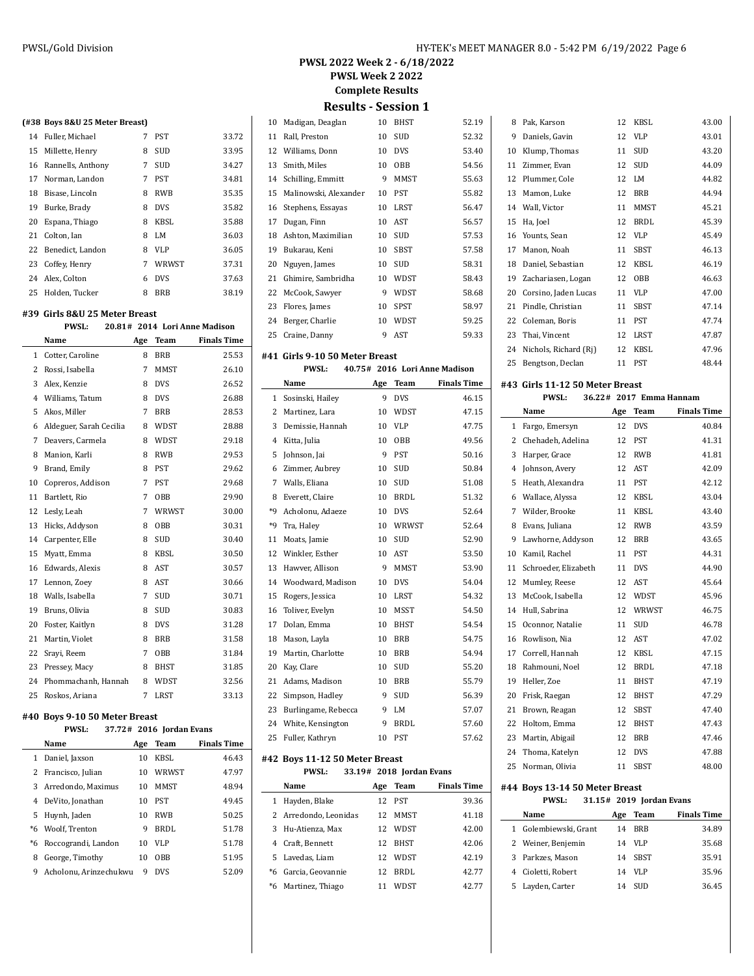**PWSL Week 2 2022**

**Complete Results**

**Results - Session 1**

| 10           | Madigan, Deaglan               | 10              | <b>BHST</b>              | 52.19                         |
|--------------|--------------------------------|-----------------|--------------------------|-------------------------------|
| 11           | Rall, Preston                  | 10              | SUD                      | 52.32                         |
| 12           | Williams, Donn                 | 10              | <b>DVS</b>               | 53.40                         |
| 13           | Smith, Miles                   | 10              | OBB                      | 54.56                         |
| 14           | Schilling, Emmitt              | 9               | <b>MMST</b>              | 55.63                         |
| 15           | Malinowski, Alexander          | 10              | PST                      | 55.82                         |
| 16           | Stephens, Essayas              | 10              | LRST                     | 56.47                         |
| 17           | Dugan, Finn                    | 10              | AST                      | 56.57                         |
| 18           | Ashton, Maximilian             | 10              | SUD                      | 57.53                         |
| 19           | Bukarau, Keni                  | 10              | <b>SBST</b>              | 57.58                         |
| 20           | Nguyen, James                  | 10              | <b>SUD</b>               | 58.31                         |
| 21           | Ghimire, Sambridha             | 10              | WDST                     | 58.43                         |
| 22           | McCook, Sawyer                 | 9               | WDST                     | 58.68                         |
| 23           | Flores, James                  | 10              | SPST                     | 58.97                         |
| 24           | Berger, Charlie                | 10              | WDST                     | 59.25                         |
| 25           | Craine, Danny                  | 9               | AST                      | 59.33                         |
|              |                                |                 |                          |                               |
|              | #41 Girls 9-10 50 Meter Breast |                 |                          |                               |
|              | PWSL:                          |                 |                          | 40.75# 2016 Lori Anne Madison |
|              | Name                           | Age             | Team                     | <b>Finals Time</b>            |
| $\mathbf{1}$ | Sosinski, Hailey               | 9               | <b>DVS</b>               | 46.15                         |
| $\mathbf{2}$ | Martinez, Lara                 | 10              | WDST                     | 47.15                         |
| 3            | Demissie, Hannah               | 10              | <b>VLP</b>               | 47.75                         |
| 4            | Kitta, Julia                   | 10              | OBB                      | 49.56                         |
| 5            | Johnson, Jai                   | 9               | <b>PST</b>               | 50.16                         |
| 6            | Zimmer, Aubrey                 | 10              | SUD                      | 50.84                         |
| 7            | Walls, Eliana                  | 10              | SUD                      | 51.08                         |
| 8            | Everett, Claire                | 10              | BRDL                     | 51.32                         |
| *9           | Acholonu, Adaeze               | 10              | <b>DVS</b>               | 52.64                         |
| $*9$         | Tra, Haley                     | 10              | WRWST                    | 52.64                         |
| 11           | Moats, Jamie                   | 10              | <b>SUD</b>               | 52.90                         |
| 12           | Winkler, Esther                | 10              | AST                      | 53.50                         |
| 13           | Hawver, Allison                | 9               | MMST                     | 53.90                         |
| 14           | Woodward, Madison              | 10              | <b>DVS</b>               | 54.04                         |
| 15           | Rogers, Jessica                | 10              | LRST                     | 54.32                         |
| 16           | Toliver, Evelyn                | 10              | MSST                     | 54.50                         |
| 17           | Dolan, Emma                    | 10              | <b>BHST</b>              | 54.54                         |
| 18           | Mason, Layla                   | 10 <sup>1</sup> | <b>BRB</b>               | 54.75                         |
| 19           | Martin, Charlotte              | 10              | <b>BRB</b>               | 54.94                         |
|              | 20 Kay, Clare                  |                 | 10 SUD                   | 55.20                         |
|              | 21 Adams, Madison              | 10              | BRB                      | 55.79                         |
| 22           | Simpson, Hadley                | 9               | SUD                      | 56.39                         |
| 23           | Burlingame, Rebecca            | 9               | LM                       | 57.07                         |
| 24           | White, Kensington              | 9               | <b>BRDL</b>              | 57.60                         |
| 25           | Fuller, Kathryn                | 10              | <b>PST</b>               | 57.62                         |
|              | #42 Boys 11-12 50 Meter Breast |                 |                          |                               |
|              | <b>PWSL:</b>                   |                 | 33.19# 2018 Jordan Evans |                               |
|              | Name                           | Age             | Team                     | <b>Finals Time</b>            |
| 1            | Hayden, Blake                  | 12              | PST                      | 39.36                         |
|              | 2 Arredondo, Leonidas          | 12              | MMST                     | 41.18                         |
| 3            | Hu-Atienza, Max                |                 | 12 WDST                  | 42.00                         |
| 4            | Craft, Bennett                 |                 | 12 BHST                  | 42.06                         |
| 5            | Lavedas, Liam                  |                 | 12 WDST                  | 42.19                         |
|              | *6 Garcia, Geovannie           |                 | 12 BRDL                  | 42.77                         |
|              | *6 Martinez, Thiago            | 11              | WDST                     | 42.77                         |
|              |                                |                 |                          |                               |

| 8  | Pak, Karson           | 12 | KBSL        | 43.00 |
|----|-----------------------|----|-------------|-------|
| 9  | Daniels, Gavin        | 12 | <b>VLP</b>  | 43.01 |
| 10 | Klump, Thomas         | 11 | SUD         | 43.20 |
| 11 | Zimmer, Evan          | 12 | SUD         | 44.09 |
| 12 | Plummer, Cole         | 12 | LM          | 44.82 |
| 13 | Mamon, Luke           | 12 | <b>BRB</b>  | 44.94 |
| 14 | Wall, Victor          | 11 | <b>MMST</b> | 45.21 |
| 15 | Ha, Joel              | 12 | <b>BRDL</b> | 45.39 |
| 16 | Younts, Sean          | 12 | VLP         | 45.49 |
| 17 | Manon, Noah           | 11 | SBST        | 46.13 |
| 18 | Daniel, Sebastian     | 12 | KBSL        | 46.19 |
| 19 | Zachariasen, Logan    | 12 | <b>OBB</b>  | 46.63 |
| 20 | Corsino, Jaden Lucas  | 11 | VLP         | 47.00 |
| 21 | Pindle, Christian     | 11 | SBST        | 47.14 |
| 22 | Coleman, Boris        | 11 | PST         | 47.74 |
| 23 | Thai, Vincent         | 12 | LRST        | 47.87 |
| 24 | Nichols, Richard (Ri) | 12 | KBSL        | 47.96 |
| 25 | Bengtson, Declan      | 11 | PST         | 48.44 |

#### **#43 Girls 11-12 50 Meter Breast**

**PWSL: 36.22# 2017 Emma Hannam**

|                | Name                           | Age | Team                     | <b>Finals Time</b> |
|----------------|--------------------------------|-----|--------------------------|--------------------|
| 1              | Fargo, Emersyn                 | 12  | <b>DVS</b>               | 40.84              |
| $\overline{2}$ | Chehadeh, Adelina              | 12  | <b>PST</b>               | 41.31              |
| 3              | Harper, Grace                  | 12  | RWB                      | 41.81              |
| 4              | Johnson, Avery                 | 12  | AST                      | 42.09              |
| 5              | Heath, Alexandra               | 11  | <b>PST</b>               | 42.12              |
| 6              | Wallace, Alyssa                | 12  | KBSL                     | 43.04              |
| 7              | Wilder, Brooke                 | 11  | <b>KBSL</b>              | 43.40              |
| 8              | Evans, Juliana                 | 12  | <b>RWB</b>               | 43.59              |
| 9              | Lawhorne, Addyson              | 12  | <b>BRB</b>               | 43.65              |
| 10             | Kamil, Rachel                  | 11  | <b>PST</b>               | 44.31              |
| 11             | Schroeder, Elizabeth           | 11  | <b>DVS</b>               | 44.90              |
| 12             | Mumley, Reese                  | 12  | AST                      | 45.64              |
| 13             | McCook, Isabella               | 12  | WDST                     | 45.96              |
| 14             | Hull, Sabrina                  | 12  | WRWST                    | 46.75              |
| 15             | Oconnor, Natalie               | 11  | <b>SUD</b>               | 46.78              |
| 16             | Rowlison, Nia                  | 12  | AST                      | 47.02              |
| 17             | Correll, Hannah                | 12  | <b>KBSL</b>              | 47.15              |
| 18             | Rahmouni, Noel                 | 12  | <b>BRDL</b>              | 47.18              |
| 19             | Heller, Zoe                    | 11  | <b>BHST</b>              | 47.19              |
| 20             | Frisk, Raegan                  | 12  | <b>BHST</b>              | 47.29              |
| 21             | Brown, Reagan                  | 12  | SBST                     | 47.40              |
| 22             | Holtom, Emma                   | 12  | <b>BHST</b>              | 47.43              |
| 23             | Martin, Abigail                | 12  | <b>BRB</b>               | 47.46              |
| 24             | Thoma, Katelyn                 | 12  | <b>DVS</b>               | 47.88              |
| 25             | Norman, Olivia                 | 11  | SBST                     | 48.00              |
|                | #44 Boys 13-14 50 Meter Breast |     |                          |                    |
|                | <b>PWSL:</b>                   |     | 31.15# 2019 Jordan Evans |                    |

|   | Name                  | Age | Team        | <b>Finals Time</b> |
|---|-----------------------|-----|-------------|--------------------|
|   | 1 Golembiewski, Grant | 14  | <b>BRB</b>  | 34.89              |
|   | 2 Weiner, Benjemin    | 14  | VLP         | 35.68              |
| 3 | Parkzes, Mason        | 14  | <b>SBST</b> | 35.91              |
|   | 4 Cioletti, Robert    | 14  | VLP         | 35.96              |
|   | 5 Layden, Carter      | 14  | SUD         | 36.45              |

## **(#38 Boys 8&U 25 Meter Breast)**

| 14 | Fuller, Michael      | 7 | <b>PST</b>  | 33.72 |
|----|----------------------|---|-------------|-------|
| 15 | Millette, Henry      | 8 | <b>SUD</b>  | 33.95 |
|    | 16 Rannells, Anthony | 7 | <b>SUD</b>  | 34.27 |
| 17 | Norman, Landon       | 7 | <b>PST</b>  | 34.81 |
| 18 | Bisase, Lincoln      | 8 | <b>RWB</b>  | 35.35 |
| 19 | Burke, Brady         | 8 | <b>DVS</b>  | 35.82 |
| 20 | Espana, Thiago       | 8 | <b>KBSL</b> | 35.88 |
| 21 | Colton, Ian          | 8 | I.M         | 36.03 |
| 22 | Benedict, Landon     | 8 | <b>VLP</b>  | 36.05 |
| 23 | Coffey, Henry        | 7 | WRWST       | 37.31 |
|    | 24 Alex, Colton      | 6 | <b>DVS</b>  | 37.63 |
|    | 25 Holden, Tucker    | 8 | <b>BRB</b>  | 38.19 |

#### **#39 Girls 8&U 25 Meter Breast**

| hiis oqu 45 meter bitast |  |                    |                               |
|--------------------------|--|--------------------|-------------------------------|
| <b>PWSL:</b>             |  |                    | 20.81# 2014 Lori Anne Madison |
| $T = 1$                  |  | <b>The company</b> | Finale Time                   |

|                | Name                    | Age | Team        | <b>Finals Time</b> |
|----------------|-------------------------|-----|-------------|--------------------|
| 1              | Cotter, Caroline        | 8   | <b>BRB</b>  | 25.53              |
| $\overline{2}$ | Rossi, Isabella         | 7   | <b>MMST</b> | 26.10              |
| 3              | Alex, Kenzie            | 8   | <b>DVS</b>  | 26.52              |
| 4              | Williams, Tatum         | 8   | <b>DVS</b>  | 26.88              |
| 5              | Akos, Miller            | 7   | <b>BRB</b>  | 28.53              |
| 6              | Aldeguer, Sarah Cecilia | 8   | WDST        | 28.88              |
| 7              | Deavers, Carmela        | 8   | <b>WDST</b> | 29.18              |
| 8              | Manion, Karli           | 8   | <b>RWB</b>  | 29.53              |
| 9              | Brand, Emily            | 8   | <b>PST</b>  | 29.62              |
| 10             | Copreros, Addison       | 7   | <b>PST</b>  | 29.68              |
| 11             | Bartlett, Rio           | 7   | <b>OBB</b>  | 29.90              |
| 12             | Lesly, Leah             | 7   | WRWST       | 30.00              |
| 13             | Hicks, Addyson          | 8   | OBB         | 30.31              |
| 14             | Carpenter, Elle         | 8   | SUD         | 30.40              |
| 15             | Myatt, Emma             | 8   | <b>KBSL</b> | 30.50              |
| 16             | Edwards, Alexis         | 8   | AST         | 30.57              |
| 17             | Lennon, Zoey            | 8   | AST         | 30.66              |
|                | 18 Walls, Isabella      | 7   | <b>SUD</b>  | 30.71              |
| 19             | Bruns, Olivia           | 8   | <b>SUD</b>  | 30.83              |
| 20             | Foster, Kaitlyn         | 8   | <b>DVS</b>  | 31.28              |
| 21             | Martin, Violet          | 8   | <b>BRB</b>  | 31.58              |
| 22             | Srayi, Reem             | 7   | OBB         | 31.84              |
| 23             | Pressey, Macy           | 8   | BHST        | 31.85              |
| 24             | Phommachanh, Hannah     | 8   | <b>WDST</b> | 32.56              |
| 25             | Roskos, Ariana          | 7   | <b>LRST</b> | 33.13              |

## **#40 Boys 9-10 50 Meter Breast**

| <b>PWSL:</b> |  |  | 37.72# 2016 Jordan Evans |
|--------------|--|--|--------------------------|
|--------------|--|--|--------------------------|

|      | Name                   | Age | Team        | <b>Finals Time</b> |
|------|------------------------|-----|-------------|--------------------|
| 1    | Daniel, Jaxson         | 10  | KBSL        | 46.43              |
| 2    | Francisco, Julian      | 10  | WRWST       | 47.97              |
|      | 3 Arredondo, Maximus   | 10  | <b>MMST</b> | 48.94              |
| 4    | DeVito, Jonathan       | 10  | <b>PST</b>  | 49.45              |
| 5    | Huynh, Jaden           | 10  | <b>RWB</b>  | 50.25              |
|      | *6 Woolf, Trenton      | 9   | BRDL        | 51.78              |
| $*6$ | Roccograndi, Landon    | 10  | VLP         | 51.78              |
| 8    | George, Timothy        | 10  | <b>OBB</b>  | 51.95              |
| 9    | Acholonu, Arinzechukwu | 9   | <b>DVS</b>  | 52.09              |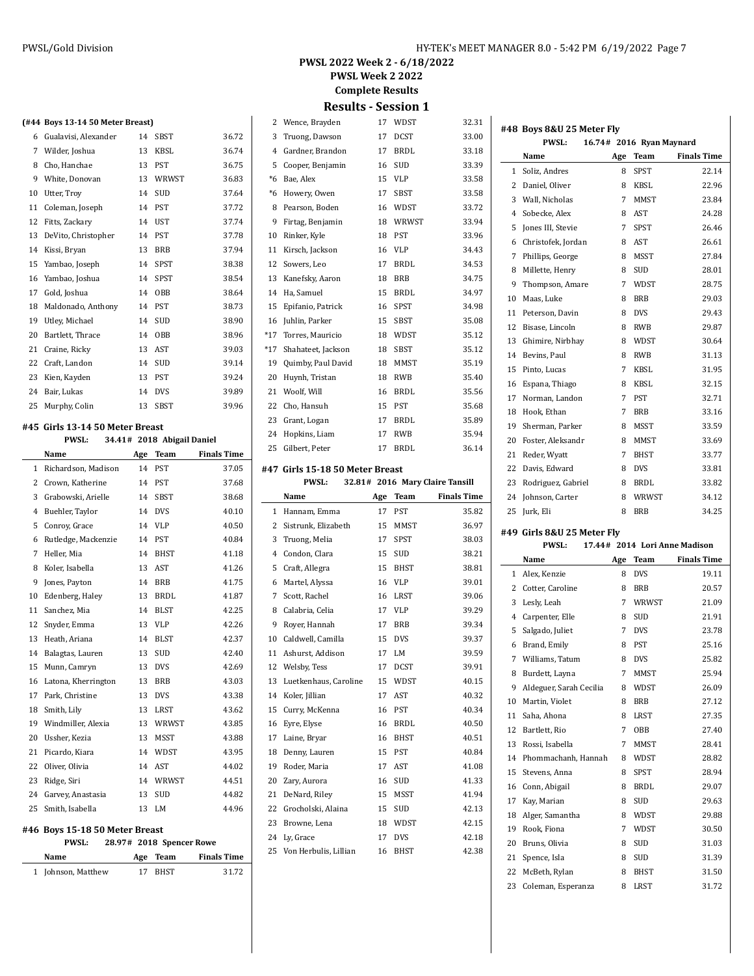**PWSL 2022 Week 2 - 6/18/2022 PWSL Week 2 2022**

**Complete Results**

## **Results - Session 1**

|    | (#44 Boys 13-14 50 Meter Breast) |    |             |       |
|----|----------------------------------|----|-------------|-------|
| 6  | Gualavisi, Alexander             | 14 | SBST        | 36.72 |
| 7  | Wilder, Joshua                   | 13 | <b>KBSL</b> | 36.74 |
| 8  | Cho, Hanchae                     | 13 | <b>PST</b>  | 36.75 |
| 9  | White, Donovan                   | 13 | WRWST       | 36.83 |
| 10 | Utter, Trov                      | 14 | <b>SUD</b>  | 37.64 |
| 11 | Coleman, Joseph                  | 14 | <b>PST</b>  | 37.72 |
| 12 | Fitts, Zackary                   | 14 | UST         | 37.74 |
| 13 | DeVito, Christopher              | 14 | <b>PST</b>  | 37.78 |
| 14 | Kissi, Bryan                     | 13 | <b>BRB</b>  | 37.94 |
| 15 | Yambao, Joseph                   | 14 | <b>SPST</b> | 38.38 |
| 16 | Yambao, Joshua                   | 14 | <b>SPST</b> | 38.54 |
| 17 | Gold, Joshua                     | 14 | OBB         | 38.64 |
| 18 | Maldonado, Anthony               | 14 | <b>PST</b>  | 38.73 |
| 19 | Utley, Michael                   | 14 | SUD         | 38.90 |
| 20 | Bartlett, Thrace                 | 14 | OBB         | 38.96 |
| 21 | Craine, Ricky                    | 13 | <b>AST</b>  | 39.03 |
| 22 | Craft, Landon                    | 14 | <b>SUD</b>  | 39.14 |
| 23 | Kien, Kayden                     | 13 | PST         | 39.24 |
| 24 | Bair, Lukas                      | 14 | <b>DVS</b>  | 39.89 |
| 25 | Murphy, Colin                    | 13 | <b>SBST</b> | 39.96 |
|    |                                  |    |             |       |

## **#45 Girls 13-14 50 Meter Breast**

**PWSL: 34.41# 2018 Abigail Daniel**

|                | Name                | Age | Team        | <b>Finals Time</b> |
|----------------|---------------------|-----|-------------|--------------------|
| 1              | Richardson, Madison | 14  | <b>PST</b>  | 37.05              |
| 2              | Crown, Katherine    | 14  | PST         | 37.68              |
| 3              | Grabowski, Arielle  | 14  | <b>SBST</b> | 38.68              |
| $\overline{4}$ | Buehler, Taylor     | 14  | <b>DVS</b>  | 40.10              |
| 5              | Conroy, Grace       | 14  | <b>VLP</b>  | 40.50              |
| 6              | Rutledge, Mackenzie | 14  | PST         | 40.84              |
| 7              | Heller, Mia         | 14  | <b>BHST</b> | 41.18              |
| 8              | Koler, Isabella     | 13  | <b>AST</b>  | 41.26              |
| 9              | Jones, Payton       | 14  | <b>BRB</b>  | 41.75              |
| 10             | Edenberg, Haley     | 13  | <b>BRDL</b> | 41.87              |
| 11             | Sanchez, Mia        | 14  | <b>BLST</b> | 42.25              |
| 12             | Snyder, Emma        | 13  | <b>VLP</b>  | 42.26              |
| 13             | Heath, Ariana       | 14  | <b>BLST</b> | 42.37              |
| 14             | Balagtas, Lauren    | 13  | <b>SUD</b>  | 42.40              |
| 15             | Munn, Camryn        | 13  | <b>DVS</b>  | 42.69              |
| 16             | Latona, Kherrington | 13  | <b>BRB</b>  | 43.03              |
| 17             | Park, Christine     | 13  | <b>DVS</b>  | 43.38              |
| 18             | Smith, Lily         | 13  | <b>LRST</b> | 43.62              |
| 19             | Windmiller, Alexia  | 13  | WRWST       | 43.85              |
| 20             | Ussher, Kezia       | 13  | MSST        | 43.88              |
| 21             | Picardo, Kiara      | 14  | <b>WDST</b> | 43.95              |
| 22             | Oliver, Olivia      | 14  | <b>AST</b>  | 44.02              |
| 23             | Ridge, Siri         | 14  | WRWST       | 44.51              |
| 24             | Garvey, Anastasia   | 13  | <b>SUD</b>  | 44.82              |
| 25             | Smith, Isabella     | 13  | LM          | 44.96              |
|                |                     |     |             |                    |

#### **#46 Boys 15-18 50 Meter Breast**

#### **PWSL: 28.97# 2018 Spencer Rowe Name Age Team Finals Time**

| name               | $n_{\rm gc}$ ream |       |
|--------------------|-------------------|-------|
| 1 Johnson, Matthew | 17 BHST           | 31.72 |

| 2              | Wence, Brayden     | 17 | WDST        | 32.31 |
|----------------|--------------------|----|-------------|-------|
| 3              | Truong, Dawson     | 17 | <b>DCST</b> | 33.00 |
| $\overline{4}$ | Gardner, Brandon   | 17 | <b>BRDL</b> | 33.18 |
| 5              | Cooper, Benjamin   | 16 | SUD         | 33.39 |
| $*6$           | Bae, Alex          | 15 | <b>VLP</b>  | 33.58 |
| *6             | Howery, Owen       | 17 | <b>SBST</b> | 33.58 |
| 8              | Pearson, Boden     | 16 | WDST        | 33.72 |
| 9              | Firtag, Benjamin   | 18 | WRWST       | 33.94 |
| 10             | Rinker, Kyle       | 18 | <b>PST</b>  | 33.96 |
| 11             | Kirsch, Jackson    | 16 | VLP         | 34.43 |
| 12             | Sowers, Leo        | 17 | <b>BRDL</b> | 34.53 |
| 13             | Kanefsky, Aaron    | 18 | <b>BRB</b>  | 34.75 |
| 14             | Ha, Samuel         | 15 | <b>BRDL</b> | 34.97 |
| 15             | Epifanio, Patrick  | 16 | <b>SPST</b> | 34.98 |
| 16             | Juhlin, Parker     | 15 | <b>SBST</b> | 35.08 |
| *17            | Torres, Mauricio   | 18 | WDST        | 35.12 |
| $*17$          | Shahateet, Jackson | 18 | <b>SBST</b> | 35.12 |
| 19             | Quimby, Paul David | 18 | <b>MMST</b> | 35.19 |
| 20             | Huynh, Tristan     | 18 | RWB         | 35.40 |
| 21             | Woolf, Will        | 16 | BRDL        | 35.56 |
| 22             | Cho, Hansuh        | 15 | <b>PST</b>  | 35.68 |
| 23             | Grant, Logan       | 17 | <b>BRDL</b> | 35.89 |
| 24             | Hopkins, Liam      | 17 | <b>RWB</b>  | 35.94 |
| 25             | Gilbert, Peter     | 17 | <b>BRDL</b> | 36.14 |

#### **#47 Girls 15-18 50 Meter Breast PWSL: 32.81# 2016 Mary Claire Tansill**

 $\overline{\phantom{a}}$ 

|                | Name                  | Age | <b>Team</b> | <b>Finals Time</b> |
|----------------|-----------------------|-----|-------------|--------------------|
| $\mathbf{1}$   | Hannam, Emma          | 17  | <b>PST</b>  | 35.82              |
| 2              | Sistrunk, Elizabeth   | 15  | <b>MMST</b> | 36.97              |
| 3              | Truong, Melia         | 17  | <b>SPST</b> | 38.03              |
| $\overline{4}$ | Condon, Clara         | 15  | <b>SUD</b>  | 38.21              |
| 5              | Craft, Allegra        | 15  | <b>BHST</b> | 38.81              |
| 6              | Martel, Alyssa        | 16  | <b>VLP</b>  | 39.01              |
| 7              | Scott, Rachel         | 16  | <b>LRST</b> | 39.06              |
| 8              | Calabria, Celia       | 17  | <b>VLP</b>  | 39.29              |
| 9              | Rover, Hannah         | 17  | <b>BRB</b>  | 39.34              |
| 10             | Caldwell, Camilla     | 15  | <b>DVS</b>  | 39.37              |
| 11             | Ashurst, Addison      | 17  | LM          | 39.59              |
| 12             | Welsby, Tess          | 17  | <b>DCST</b> | 39.91              |
| 13             | Luetkenhaus, Caroline | 15  | WDST        | 40.15              |
| 14             | Koler, Jillian        | 17  | AST         | 40.32              |
| 15             | Curry, McKenna        | 16  | <b>PST</b>  | 40.34              |
| 16             | Eyre, Elyse           | 16  | <b>BRDL</b> | 40.50              |
| 17             | Laine, Bryar          | 16  | <b>BHST</b> | 40.51              |
| 18             | Denny, Lauren         | 15  | PST         | 40.84              |
| 19             | Roder, Maria          | 17  | AST         | 41.08              |
| 20             | Zary, Aurora          | 16  | <b>SUD</b>  | 41.33              |
| 21             | DeNard, Riley         | 15  | <b>MSST</b> | 41.94              |
| 22             | Grocholski, Alaina    | 15  | <b>SUD</b>  | 42.13              |
| 23             | Browne, Lena          | 18  | WDST        | 42.15              |
| 24             | Ly, Grace             | 17  | <b>DVS</b>  | 42.18              |
| 25             | Von Herbulis, Lillian | 16  | <b>BHST</b> | 42.38              |
|                |                       |     |             |                    |

|              | #48 Boys 8&U 25 Meter Fly  |     |                          |                                    |
|--------------|----------------------------|-----|--------------------------|------------------------------------|
|              | <b>PWSL:</b>               |     | 16.74# 2016 Ryan Maynard |                                    |
|              | Name                       | Age | Team                     | <b>Finals Time</b>                 |
| $\mathbf{1}$ | Soliz, Andres              | 8   | <b>SPST</b>              | 22.14                              |
| 2            | Daniel, Oliver             | 8   | KBSL                     | 22.96                              |
| 3            | Wall, Nicholas             | 7   | <b>MMST</b>              | 23.84                              |
| 4            | Sobecke, Alex              | 8   | <b>AST</b>               | 24.28                              |
| 5            | Jones III, Stevie          | 7   | <b>SPST</b>              | 26.46                              |
| 6            | Christofek, Jordan         | 8   | AST                      | 26.61                              |
| 7            | Phillips, George           | 8   | <b>MSST</b>              | 27.84                              |
| 8            | Millette, Henry            | 8   | <b>SUD</b>               | 28.01                              |
| 9            | Thompson, Amare            | 7   | WDST                     | 28.75                              |
| 10           | Maas, Luke                 | 8   | <b>BRB</b>               | 29.03                              |
| 11           | Peterson, Davin            | 8   | <b>DVS</b>               | 29.43                              |
| 12           | Bisase, Lincoln            | 8   | <b>RWB</b>               | 29.87                              |
| 13           | Ghimire, Nirbhay           | 8   | WDST                     | 30.64                              |
| 14           | Bevins, Paul               | 8   | <b>RWB</b>               | 31.13                              |
| 15           | Pinto, Lucas               | 7   | KBSL                     | 31.95                              |
| 16           | Espana, Thiago             | 8   | <b>KBSL</b>              | 32.15                              |
| 17           | Norman, Landon             | 7   | <b>PST</b>               | 32.71                              |
| 18           | Hook, Ethan                | 7   | <b>BRB</b>               | 33.16                              |
| 19           | Sherman. Parker            | 8   | <b>MSST</b>              | 33.59                              |
| 20           | Foster, Aleksandr          | 8   | <b>MMST</b>              | 33.69                              |
| 21           | Reder, Wyatt               | 7   | <b>BHST</b>              | 33.77                              |
| 22           | Davis, Edward              | 8   | <b>DVS</b>               | 33.81                              |
| 23           | Rodriguez, Gabriel         | 8   | BRDL                     | 33.82                              |
| 24           | Johnson, Carter            | 8   | <b>WRWST</b>             | 34.12                              |
| 25           | Jurk, Eli                  | 8   | <b>BRB</b>               | 34.25                              |
|              | #49 Girls 8&U 25 Meter Fly |     |                          | PWSL: 1744# 2014 Lori Anne Madison |

|    | Name                    | Age | Team         | <b>Finals Time</b> |
|----|-------------------------|-----|--------------|--------------------|
| 1  | Alex, Kenzie            | 8   | <b>DVS</b>   | 19.11              |
| 2  | Cotter, Caroline        | 8   | <b>BRB</b>   | 20.57              |
| 3  | Lesly, Leah             | 7   | <b>WRWST</b> | 21.09              |
| 4  | Carpenter, Elle         | 8   | <b>SUD</b>   | 21.91              |
| 5  | Salgado, Juliet         | 7   | <b>DVS</b>   | 23.78              |
| 6  | Brand, Emily            | 8   | <b>PST</b>   | 25.16              |
| 7  | Williams, Tatum         | 8   | <b>DVS</b>   | 25.82              |
| 8  | Burdett, Layna          | 7   | <b>MMST</b>  | 25.94              |
| 9  | Aldeguer, Sarah Cecilia | 8   | WDST         | 26.09              |
| 10 | Martin, Violet          | 8   | <b>BRB</b>   | 27.12              |
| 11 | Saha, Ahona             | 8   | LRST         | 27.35              |
| 12 | Bartlett, Rio           | 7   | <b>OBB</b>   | 27.40              |
| 13 | Rossi, Isabella         | 7   | <b>MMST</b>  | 28.41              |
| 14 | Phommachanh, Hannah     | 8   | WDST         | 28.82              |
| 15 | Stevens, Anna           | 8   | <b>SPST</b>  | 28.94              |
| 16 | Conn, Abigail           | 8   | <b>BRDL</b>  | 29.07              |
| 17 | Kay, Marian             | 8   | SUD          | 29.63              |
| 18 | Alger, Samantha         | 8   | WDST         | 29.88              |
| 19 | Rook, Fiona             | 7   | <b>WDST</b>  | 30.50              |
| 20 | Bruns, Olivia           | 8   | <b>SUD</b>   | 31.03              |
| 21 | Spence, Isla            | 8   | <b>SUD</b>   | 31.39              |
| 22 | McBeth, Rylan           | 8   | <b>BHST</b>  | 31.50              |
| 23 | Coleman, Esperanza      | 8   | LRST         | 31.72              |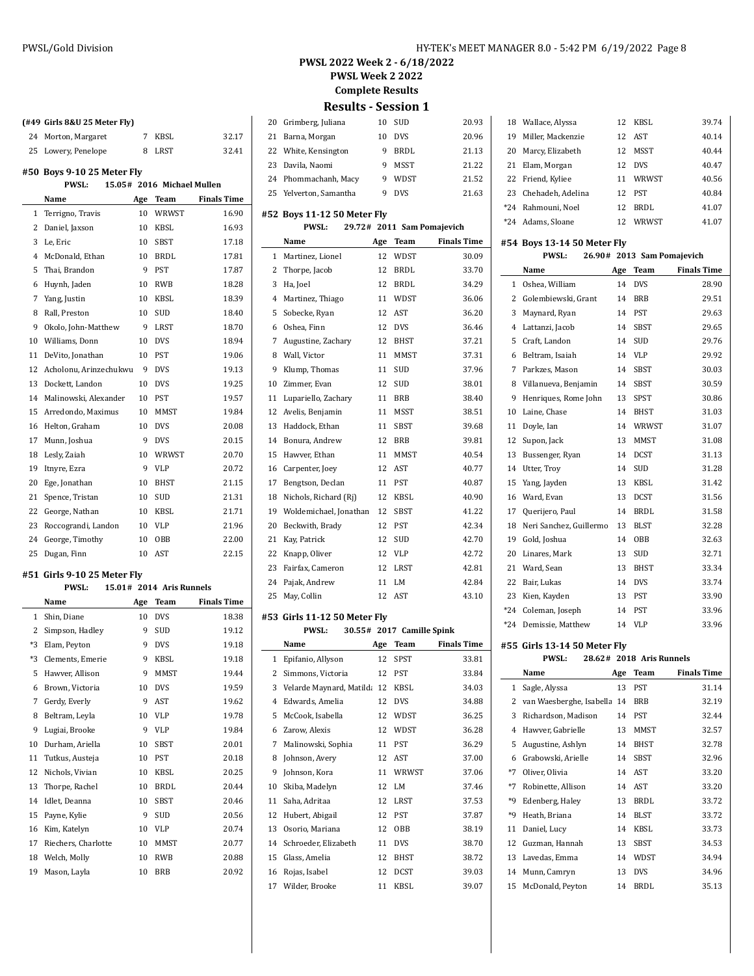**(#49 Girls 8&U 25 Meter Fly)**

| PWSL 2022 Week 2 - 6/18/2022 |  |
|------------------------------|--|

**PWSL Week 2 2022**

**Complete Results**

**Results - Session 1**

| 20 Grimberg, Juliana   | 10 | <b>SUD</b>  | 20.93 |
|------------------------|----|-------------|-------|
| 21 Barna, Morgan       | 10 | <b>DVS</b>  | 20.96 |
| 22 White, Kensington   | 9  | BRDL        | 21.13 |
| 23 Davila, Naomi       | 9  | <b>MSST</b> | 21.22 |
| 24 Phommachanh, Macy   | 9  | <b>WDST</b> | 21.52 |
| 25 Yelverton, Samantha | 9  | <b>DVS</b>  | 21.63 |
|                        |    |             |       |

## **#52 Boys 11-12 50 Meter Fly**

| 29.72# 2011 Sam Pomajevich<br><b>PWSL:</b> |
|--------------------------------------------|
|--------------------------------------------|

|                | Name                   | Age | Team        | <b>Finals Time</b> |
|----------------|------------------------|-----|-------------|--------------------|
| 1              | Martinez, Lionel       | 12  | WDST        | 30.09              |
| 2              | Thorpe, Jacob          | 12  | <b>BRDL</b> | 33.70              |
| 3              | Ha, Joel               | 12  | <b>BRDL</b> | 34.29              |
| $\overline{4}$ | Martinez, Thiago       | 11  | <b>WDST</b> | 36.06              |
| 5              | Sobecke, Ryan          | 12  | AST         | 36.20              |
| 6              | Oshea, Finn            | 12  | <b>DVS</b>  | 36.46              |
| 7              | Augustine, Zachary     | 12  | <b>BHST</b> | 37.21              |
| 8              | Wall, Victor           | 11  | <b>MMST</b> | 37.31              |
| 9              | Klump, Thomas          | 11  | <b>SUD</b>  | 37.96              |
| 10             | Zimmer, Evan           | 12  | <b>SUD</b>  | 38.01              |
| 11             | Lupariello, Zachary    | 11  | BRB         | 38.40              |
| 12             | Avelis, Benjamin       | 11  | <b>MSST</b> | 38.51              |
| 13             | Haddock, Ethan         | 11  | <b>SBST</b> | 39.68              |
| 14             | Bonura, Andrew         | 12  | <b>BRB</b>  | 39.81              |
| 15             | Hawver, Ethan          | 11  | <b>MMST</b> | 40.54              |
| 16             | Carpenter, Joey        | 12  | AST         | 40.77              |
| 17             | Bengtson, Declan       | 11  | PST         | 40.87              |
| 18             | Nichols, Richard (Ri)  | 12  | KBSL        | 40.90              |
| 19             | Woldemichael, Jonathan | 12  | <b>SBST</b> | 41.22              |
| 20             | Beckwith, Brady        | 12  | PST         | 42.34              |
| 21             | Kay, Patrick           | 12  | SUD         | 42.70              |
| 22             | Knapp, Oliver          | 12  | <b>VLP</b>  | 42.72              |
| 23             | Fairfax, Cameron       | 12  | <b>LRST</b> | 42.81              |
| 24             | Pajak, Andrew          | 11  | LM          | 42.84              |
| 25             | May, Collin            | 12  | AST         | 43.10              |
|                |                        |     |             |                    |

#### **#53 Girls 11-12 50 Meter Fly**

|                | <b>PWSL:</b>                |     | 30.55# 2017 Camille Spink |                    |
|----------------|-----------------------------|-----|---------------------------|--------------------|
|                | Name                        | Age | Team                      | <b>Finals Time</b> |
| 1              | Epifanio, Allyson           | 12  | SPST                      | 33.81              |
| 2              | Simmons, Victoria           | 12  | PST                       | 33.84              |
| 3              | Velarde Maynard, Matilda 12 |     | <b>KBSL</b>               | 34.03              |
| $\overline{4}$ | Edwards, Amelia             | 12  | <b>DVS</b>                | 34.88              |
| 5              | McCook, Isabella            | 12  | <b>WDST</b>               | 36.25              |
| 6              | Zarow, Alexis               | 12  | <b>WDST</b>               | 36.28              |
| 7              | Malinowski, Sophia          | 11  | <b>PST</b>                | 36.29              |
| 8              | Johnson, Avery              | 12  | AST                       | 37.00              |
| 9              | Johnson, Kora               | 11  | WRWST                     | 37.06              |
| 10             | Skiba, Madelyn              | 12  | I.M                       | 37.46              |
| 11             | Saha, Adritaa               | 12  | <b>LRST</b>               | 37.53              |
| 12             | Hubert, Abigail             | 12  | <b>PST</b>                | 37.87              |
| 13             | Osorio, Mariana             | 12  | OBB                       | 38.19              |
| 14             | Schroeder, Elizabeth        | 11  | <b>DVS</b>                | 38.70              |
| 15             | Glass, Amelia               | 12  | <b>BHST</b>               | 38.72              |
| 16             | Rojas, Isabel               | 12  | <b>DCST</b>               | 39.03              |
| 17             | Wilder, Brooke              | 11  | KBSL                      | 39.07              |

|       | 18 Wallace, Alyssa   |     | 12 KBSL     | 39.74 |
|-------|----------------------|-----|-------------|-------|
| 19    | Miller, Mackenzie    |     | 12 AST      | 40.14 |
| 20    | Marcy, Elizabeth     | 12. | <b>MSST</b> | 40.44 |
| 21    | Elam, Morgan         | 12  | <b>DVS</b>  | 40.47 |
|       | 22 Friend, Kyliee    | 11  | WRWST       | 40.56 |
|       | 23 Chehadeh, Adelina | 12  | <b>PST</b>  | 40.84 |
| $*24$ | Rahmouni, Noel       | 12  | BRDL        | 41.07 |
| *24   | Adams, Sloane        | 12  | WRWST       | 41.07 |

## **#54 Boys 13-14 50 Meter Fly**

|                | <b>PWSL:</b>            |     | 26.90# 2013 Sam Pomajevich |                    |
|----------------|-------------------------|-----|----------------------------|--------------------|
|                | Name                    | Age | Team                       | <b>Finals Time</b> |
| $\mathbf{1}$   | Oshea. William          | 14  | <b>DVS</b>                 | 28.90              |
| 2              | Golembiewski, Grant     | 14  | <b>BRB</b>                 | 29.51              |
| 3              | Maynard, Ryan           | 14  | <b>PST</b>                 | 29.63              |
| $\overline{4}$ | Lattanzi, Jacob         | 14  | <b>SBST</b>                | 29.65              |
| 5              | Craft, Landon           | 14  | <b>SUD</b>                 | 29.76              |
| 6              | Beltram, Isaiah         | 14  | VLP                        | 29.92              |
| 7              | Parkzes, Mason          | 14  | <b>SBST</b>                | 30.03              |
| 8              | Villanueva, Benjamin    | 14  | <b>SBST</b>                | 30.59              |
| 9              | Henriques, Rome John    | 13  | SPST                       | 30.86              |
| 10             | Laine, Chase            | 14  | BHST                       | 31.03              |
| 11             | Doyle, Ian              | 14  | <b>WRWST</b>               | 31.07              |
| 12             | Supon, Jack             | 13  | MMST                       | 31.08              |
| 13             | Bussenger, Ryan         | 14  | <b>DCST</b>                | 31.13              |
| 14             | Utter, Troy             | 14  | <b>SUD</b>                 | 31.28              |
| 15             | Yang, Jayden            | 13  | KBSL                       | 31.42              |
| 16             | Ward, Evan              | 13  | <b>DCST</b>                | 31.56              |
| 17             | Querijero, Paul         | 14  | <b>BRDL</b>                | 31.58              |
| 18             | Neri Sanchez, Guillermo | 13  | <b>BLST</b>                | 32.28              |
| 19             | Gold, Joshua            | 14  | OBB                        | 32.63              |
| 20             | Linares, Mark           | 13  | <b>SUD</b>                 | 32.71              |
| 21             | Ward, Sean              | 13  | <b>BHST</b>                | 33.34              |
| 22             | Bair, Lukas             | 14  | <b>DVS</b>                 | 33.74              |
| 23             | Kien, Kayden            | 13  | <b>PST</b>                 | 33.90              |
| $*24$          | Coleman, Joseph         | 14  | PST                        | 33.96              |
| $*24$          | Demissie, Matthew       | 14  | VLP                        | 33.96              |

#### **#55 Girls 13-14 50 Meter Fly**

## **PWSL: 28.62# 2018 Aris Runnels**

|      | Name                     | Age | Team        | <b>Finals Time</b> |
|------|--------------------------|-----|-------------|--------------------|
| 1    | Sagle, Alyssa            | 13  | <b>PST</b>  | 31.14              |
| 2    | van Waesberghe, Isabella | 14  | <b>BRB</b>  | 32.19              |
| 3    | Richardson, Madison      | 14  | <b>PST</b>  | 32.44              |
| 4    | Hawver, Gabrielle        | 13  | <b>MMST</b> | 32.57              |
| 5    | Augustine, Ashlyn        | 14  | <b>BHST</b> | 32.78              |
| 6    | Grabowski, Arielle       | 14  | <b>SBST</b> | 32.96              |
| $*7$ | Oliver, Olivia           | 14  | AST         | 33.20              |
| $*7$ | Robinette, Allison       | 14  | AST         | 33.20              |
| *9   | Edenberg, Haley          | 13  | <b>BRDL</b> | 33.72              |
| *9   | Heath, Briana            | 14  | <b>BLST</b> | 33.72              |
| 11   | Daniel, Lucy             | 14  | KBSL        | 33.73              |
| 12   | Guzman, Hannah           | 13  | <b>SBST</b> | 34.53              |
| 13   | Lavedas, Emma            | 14  | WDST        | 34.94              |
| 14   | Munn, Camryn             | 13  | <b>DVS</b>  | 34.96              |
| 15   | McDonald, Peyton         | 14  | <b>BRDL</b> | 35.13              |

## 24 Morton, Margaret 7 KBSL 32.17 25 Lowery, Penelope 8 LRST 32.41 **#50 Boys 9-10 25 Meter Fly PWSL: 15.05# 2016 Michael Mullen Name Age Team Finals Time** 1 Terrigno, Travis 10 WRWST 16.90 Daniel, Jaxson 10 KBSL 16.93 3 Le, Eric 10 SBST 17.18 4 McDonald, Ethan 10 BRDL 17.81 Thai, Brandon 9 PST 17.87 Huynh, Jaden 10 RWB 18.28 Yang, Justin 10 KBSL 18.39 Rall, Preston 10 SUD 18.40 9 Okolo, John-Matthew 9 LRST 18.70 Williams, Donn 10 DVS 18.94 11 DeVito, Jonathan 10 PST 19.06 Acholonu, Arinzechukwu 9 DVS 19.13 Dockett, Landon 10 DVS 19.25 Malinowski, Alexander 10 PST 19.57 Arredondo, Maximus 10 MMST 19.84 Helton, Graham 10 DVS 20.08 Munn, Joshua 9 DVS 20.15 Lesly, Zaiah 10 WRWST 20.70 19 Itnyre, Ezra 19 9 VLP 20.72 Ege, Jonathan 10 BHST 21.15 Spence, Tristan 10 SUD 21.31 22 George, Nathan 10 KBSL 21.71 Roccograndi, Landon 10 VLP 21.96 George, Timothy 10 OBB 22.00 Dugan, Finn 10 AST 22.15

## **#51 Girls 9-10 25 Meter Fly**

|      | <b>PWSL:</b>        |     | 15.01# 2014 Aris Runnels |                    |
|------|---------------------|-----|--------------------------|--------------------|
|      | Name                | Age | Team                     | <b>Finals Time</b> |
| 1    | Shin, Diane         | 10  | <b>DVS</b>               | 18.38              |
| 2    | Simpson, Hadley     | 9   | <b>SUD</b>               | 19.12              |
| $*3$ | Elam, Peyton        | 9   | <b>DVS</b>               | 19.18              |
| $*3$ | Clements, Emerie    | 9   | <b>KBSL</b>              | 19.18              |
| 5    | Hawver, Allison     | 9   | <b>MMST</b>              | 19.44              |
| 6    | Brown, Victoria     | 10  | <b>DVS</b>               | 19.59              |
| 7    | Gerdy, Everly       | 9   | <b>AST</b>               | 19.62              |
| 8    | Beltram, Leyla      | 10  | <b>VLP</b>               | 19.78              |
| 9    | Lugiai, Brooke      | 9   | <b>VLP</b>               | 19.84              |
| 10   | Durham, Ariella     | 10  | <b>SBST</b>              | 20.01              |
| 11   | Tutkus, Austeja     | 10  | PST                      | 20.18              |
| 12   | Nichols, Vivian     | 10  | KBSL                     | 20.25              |
| 13   | Thorpe, Rachel      | 10  | <b>BRDL</b>              | 20.44              |
| 14   | Idlet, Deanna       | 10  | <b>SBST</b>              | 20.46              |
| 15   | Payne, Kylie        | 9   | <b>SUD</b>               | 20.56              |
| 16   | Kim, Katelyn        | 10  | <b>VLP</b>               | 20.74              |
| 17   | Riechers, Charlotte | 10  | MMST                     | 20.77              |
| 18   | Welch, Molly        | 10  | <b>RWB</b>               | 20.88              |
| 19   | Mason, Layla        | 10  | <b>BRB</b>               | 20.92              |